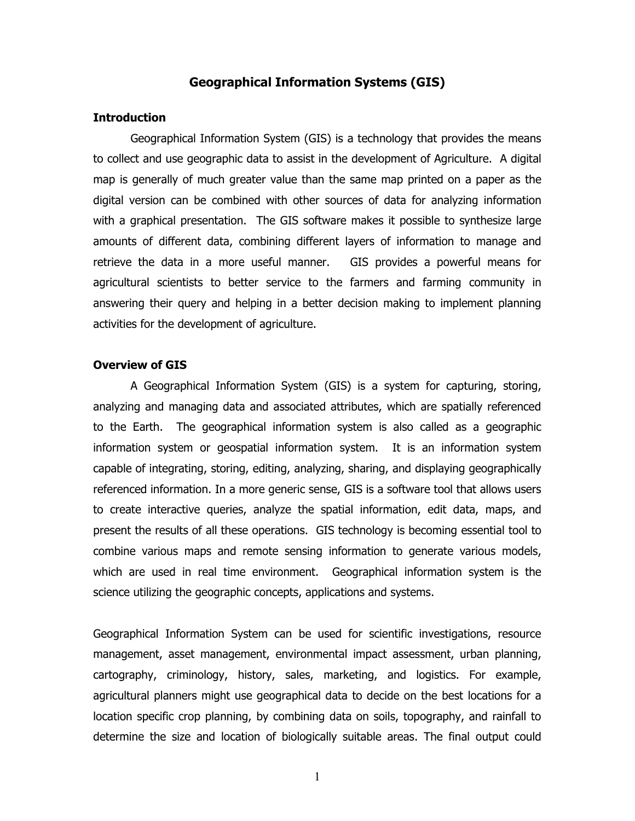# Geographical Information Systems (GIS)

# **Introduction**

 Geographical Information System (GIS) is a technology that provides the means to collect and use geographic data to assist in the development of Agriculture. A digital map is generally of much greater value than the same map printed on a paper as the digital version can be combined with other sources of data for analyzing information with a graphical presentation. The GIS software makes it possible to synthesize large amounts of different data, combining different layers of information to manage and retrieve the data in a more useful manner. GIS provides a powerful means for agricultural scientists to better service to the farmers and farming community in answering their query and helping in a better decision making to implement planning activities for the development of agriculture.

# Overview of GIS

 A Geographical Information System (GIS) is a system for capturing, storing, analyzing and managing data and associated attributes, which are spatially referenced to the Earth. The geographical information system is also called as a geographic information system or geospatial information system. It is an information system capable of integrating, storing, editing, analyzing, sharing, and displaying geographically referenced information. In a more generic sense, GIS is a software tool that allows users to create interactive queries, analyze the spatial information, edit data, maps, and present the results of all these operations. GIS technology is becoming essential tool to combine various maps and remote sensing information to generate various models, which are used in real time environment. Geographical information system is the science utilizing the geographic concepts, applications and systems.

Geographical Information System can be used for scientific investigations, resource management, asset management, environmental impact assessment, urban planning, cartography, criminology, history, sales, marketing, and logistics. For example, agricultural planners might use geographical data to decide on the best locations for a location specific crop planning, by combining data on soils, topography, and rainfall to determine the size and location of biologically suitable areas. The final output could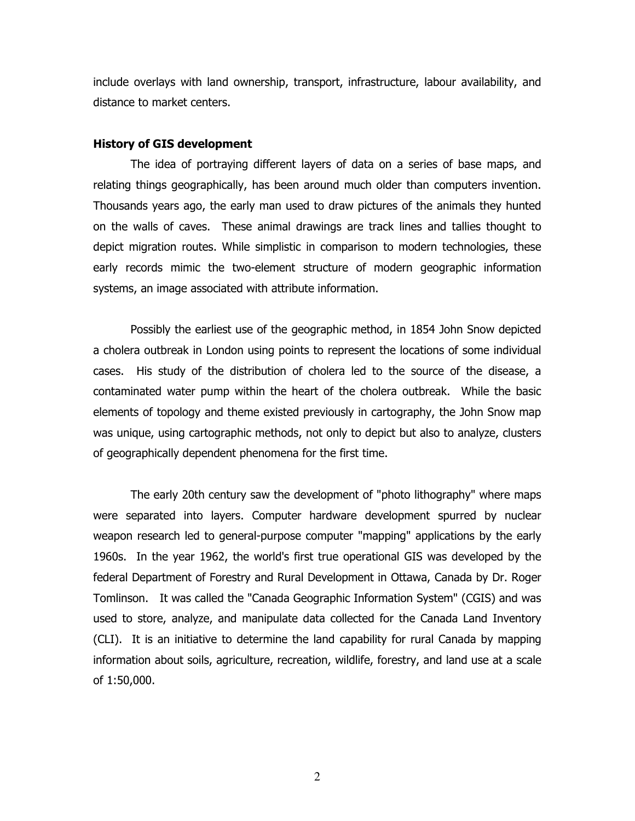include overlays with land ownership, transport, infrastructure, labour availability, and distance to market centers.

# History of GIS development

The idea of portraying different layers of data on a series of base maps, and relating things geographically, has been around much older than computers invention. Thousands years ago, the early man used to draw pictures of the animals they hunted on the walls of caves. These animal drawings are track lines and tallies thought to depict migration routes. While simplistic in comparison to modern technologies, these early records mimic the two-element structure of modern geographic information systems, an image associated with attribute information.

Possibly the earliest use of the geographic method, in 1854 John Snow depicted a cholera outbreak in London using points to represent the locations of some individual cases. His study of the distribution of cholera led to the source of the disease, a contaminated water pump within the heart of the cholera outbreak. While the basic elements of topology and theme existed previously in cartography, the John Snow map was unique, using cartographic methods, not only to depict but also to analyze, clusters of geographically dependent phenomena for the first time.

The early 20th century saw the development of "photo lithography" where maps were separated into layers. Computer hardware development spurred by nuclear weapon research led to general-purpose computer "mapping" applications by the early 1960s. In the year 1962, the world's first true operational GIS was developed by the federal Department of Forestry and Rural Development in Ottawa, Canada by Dr. Roger Tomlinson. It was called the "Canada Geographic Information System" (CGIS) and was used to store, analyze, and manipulate data collected for the Canada Land Inventory (CLI). It is an initiative to determine the land capability for rural Canada by mapping information about soils, agriculture, recreation, wildlife, forestry, and land use at a scale of 1:50,000.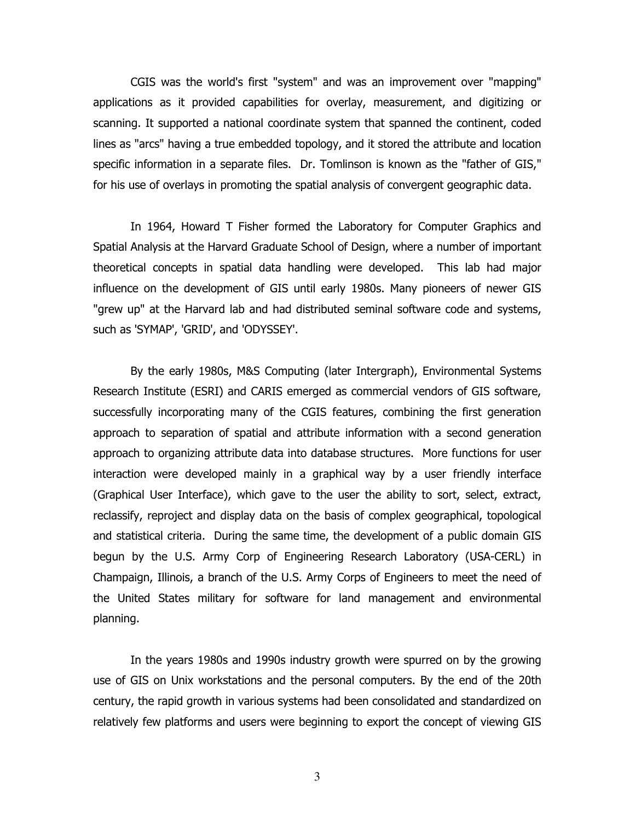CGIS was the world's first "system" and was an improvement over "mapping" applications as it provided capabilities for overlay, measurement, and digitizing or scanning. It supported a national coordinate system that spanned the continent, coded lines as "arcs" having a true embedded topology, and it stored the attribute and location specific information in a separate files. Dr. Tomlinson is known as the "father of GIS," for his use of overlays in promoting the spatial analysis of convergent geographic data.

In 1964, Howard T Fisher formed the Laboratory for Computer Graphics and Spatial Analysis at the Harvard Graduate School of Design, where a number of important theoretical concepts in spatial data handling were developed. This lab had major influence on the development of GIS until early 1980s. Many pioneers of newer GIS "grew up" at the Harvard lab and had distributed seminal software code and systems, such as 'SYMAP', 'GRID', and 'ODYSSEY'.

By the early 1980s, M&S Computing (later Intergraph), Environmental Systems Research Institute (ESRI) and CARIS emerged as commercial vendors of GIS software, successfully incorporating many of the CGIS features, combining the first generation approach to separation of spatial and attribute information with a second generation approach to organizing attribute data into database structures. More functions for user interaction were developed mainly in a graphical way by a user friendly interface (Graphical User Interface), which gave to the user the ability to sort, select, extract, reclassify, reproject and display data on the basis of complex geographical, topological and statistical criteria. During the same time, the development of a public domain GIS begun by the U.S. Army Corp of Engineering Research Laboratory (USA-CERL) in Champaign, Illinois, a branch of the U.S. Army Corps of Engineers to meet the need of the United States military for software for land management and environmental planning.

In the years 1980s and 1990s industry growth were spurred on by the growing use of GIS on Unix workstations and the personal computers. By the end of the 20th century, the rapid growth in various systems had been consolidated and standardized on relatively few platforms and users were beginning to export the concept of viewing GIS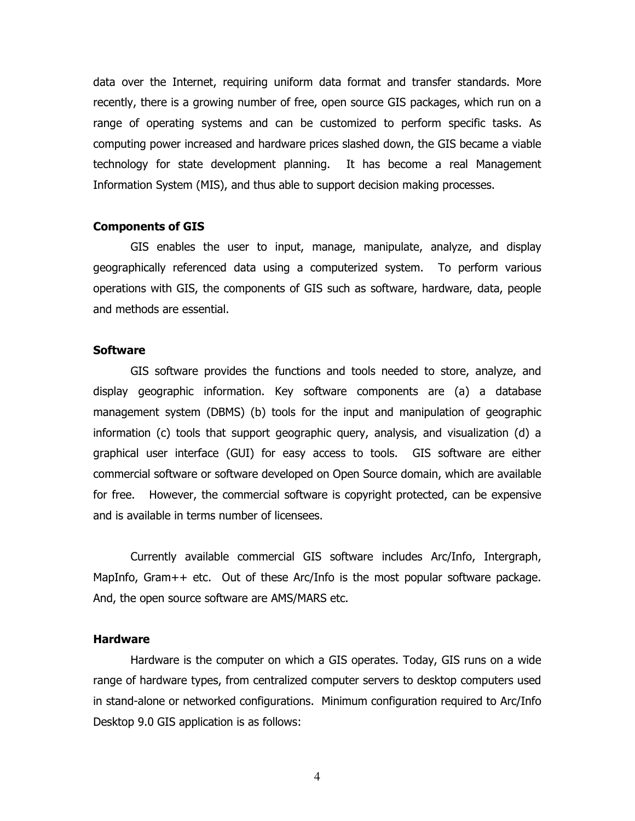data over the Internet, requiring uniform data format and transfer standards. More recently, there is a growing number of free, open source GIS packages, which run on a range of operating systems and can be customized to perform specific tasks. As computing power increased and hardware prices slashed down, the GIS became a viable technology for state development planning. It has become a real Management Information System (MIS), and thus able to support decision making processes.

#### Components of GIS

GIS enables the user to input, manage, manipulate, analyze, and display geographically referenced data using a computerized system. To perform various operations with GIS, the components of GIS such as software, hardware, data, people and methods are essential.

### Software

GIS software provides the functions and tools needed to store, analyze, and display geographic information. Key software components are (a) a database management system (DBMS) (b) tools for the input and manipulation of geographic information (c) tools that support geographic query, analysis, and visualization (d) a graphical user interface (GUI) for easy access to tools. GIS software are either commercial software or software developed on Open Source domain, which are available for free. However, the commercial software is copyright protected, can be expensive and is available in terms number of licensees.

Currently available commercial GIS software includes Arc/Info, Intergraph, MapInfo, Gram++ etc. Out of these Arc/Info is the most popular software package. And, the open source software are AMS/MARS etc.

# Hardware

Hardware is the computer on which a GIS operates. Today, GIS runs on a wide range of hardware types, from centralized computer servers to desktop computers used in stand-alone or networked configurations. Minimum configuration required to Arc/Info Desktop 9.0 GIS application is as follows: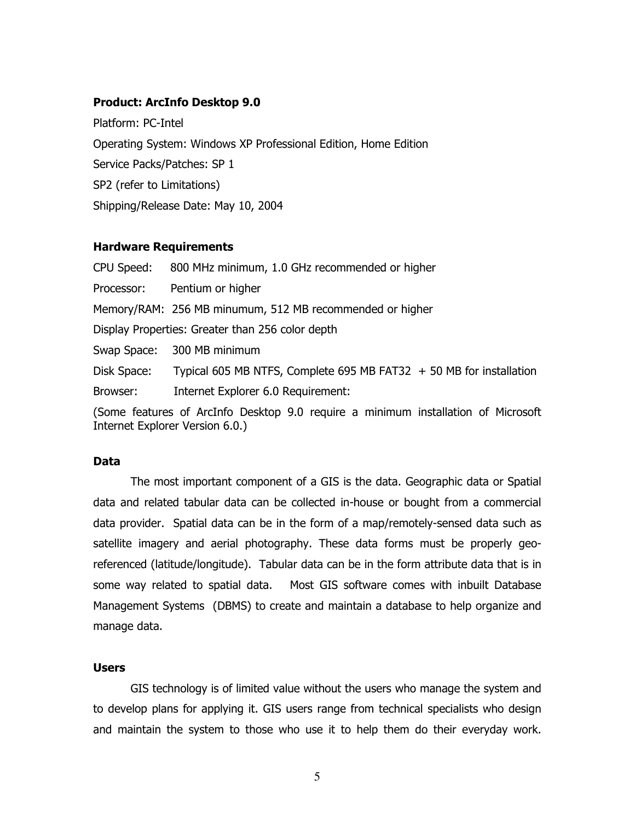# Product: ArcInfo Desktop 9.0

Platform: PC-Intel Operating System: Windows XP Professional Edition, Home Edition Service Packs/Patches: SP 1 SP2 (refer to Limitations) Shipping/Release Date: May 10, 2004

## Hardware Requirements

CPU Speed: 800 MHz minimum, 1.0 GHz recommended or higher Processor: Pentium or higher Memory/RAM: 256 MB minumum, 512 MB recommended or higher Display Properties: Greater than 256 color depth Swap Space: 300 MB minimum Disk Space: Typical 605 MB NTFS, Complete 695 MB FAT32  $+50$  MB for installation Browser: Internet Explorer 6.0 Requirement:

(Some features of ArcInfo Desktop 9.0 require a minimum installation of Microsoft Internet Explorer Version 6.0.)

# Data

The most important component of a GIS is the data. Geographic data or Spatial data and related tabular data can be collected in-house or bought from a commercial data provider. Spatial data can be in the form of a map/remotely-sensed data such as satellite imagery and aerial photography. These data forms must be properly georeferenced (latitude/longitude). Tabular data can be in the form attribute data that is in some way related to spatial data. Most GIS software comes with inbuilt Database Management Systems (DBMS) to create and maintain a database to help organize and manage data.

# Users

GIS technology is of limited value without the users who manage the system and to develop plans for applying it. GIS users range from technical specialists who design and maintain the system to those who use it to help them do their everyday work.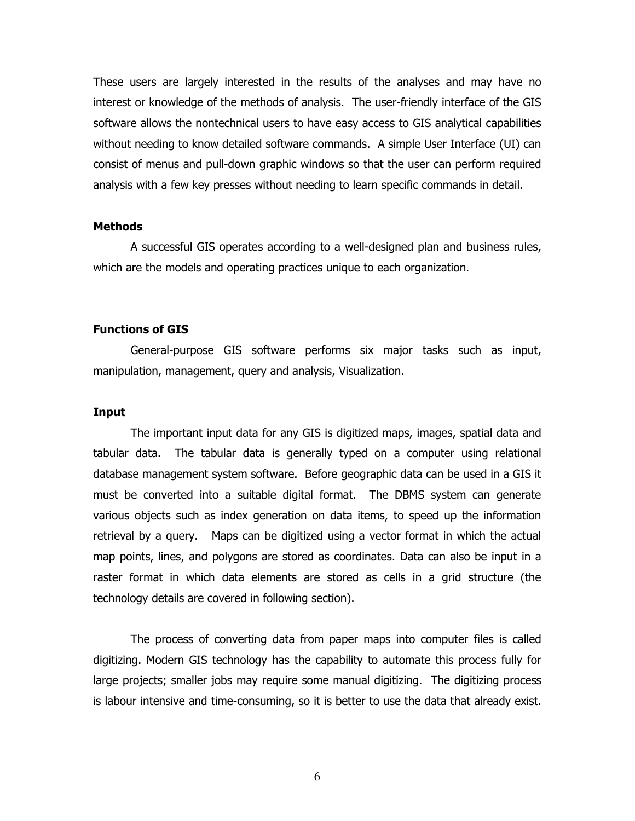These users are largely interested in the results of the analyses and may have no interest or knowledge of the methods of analysis. The user-friendly interface of the GIS software allows the nontechnical users to have easy access to GIS analytical capabilities without needing to know detailed software commands. A simple User Interface (UI) can consist of menus and pull-down graphic windows so that the user can perform required analysis with a few key presses without needing to learn specific commands in detail.

#### **Methods**

A successful GIS operates according to a well-designed plan and business rules, which are the models and operating practices unique to each organization.

#### Functions of GIS

 General-purpose GIS software performs six major tasks such as input, manipulation, management, query and analysis, Visualization.

# Input

 The important input data for any GIS is digitized maps, images, spatial data and tabular data. The tabular data is generally typed on a computer using relational database management system software. Before geographic data can be used in a GIS it must be converted into a suitable digital format. The DBMS system can generate various objects such as index generation on data items, to speed up the information retrieval by a query. Maps can be digitized using a vector format in which the actual map points, lines, and polygons are stored as coordinates. Data can also be input in a raster format in which data elements are stored as cells in a grid structure (the technology details are covered in following section).

 The process of converting data from paper maps into computer files is called digitizing. Modern GIS technology has the capability to automate this process fully for large projects; smaller jobs may require some manual digitizing. The digitizing process is labour intensive and time-consuming, so it is better to use the data that already exist.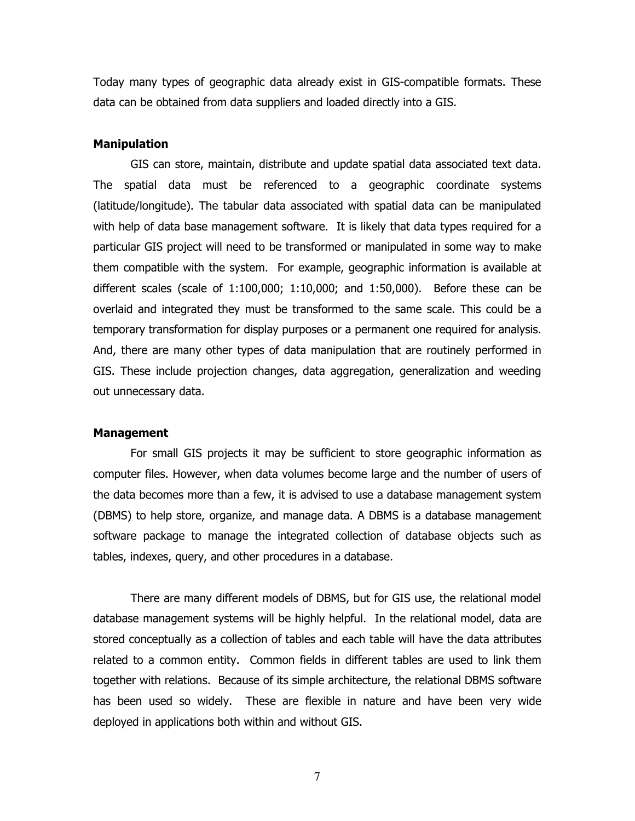Today many types of geographic data already exist in GIS-compatible formats. These data can be obtained from data suppliers and loaded directly into a GIS.

# Manipulation

 GIS can store, maintain, distribute and update spatial data associated text data. The spatial data must be referenced to a geographic coordinate systems (latitude/longitude). The tabular data associated with spatial data can be manipulated with help of data base management software. It is likely that data types required for a particular GIS project will need to be transformed or manipulated in some way to make them compatible with the system. For example, geographic information is available at different scales (scale of 1:100,000; 1:10,000; and 1:50,000). Before these can be overlaid and integrated they must be transformed to the same scale. This could be a temporary transformation for display purposes or a permanent one required for analysis. And, there are many other types of data manipulation that are routinely performed in GIS. These include projection changes, data aggregation, generalization and weeding out unnecessary data.

### Management

 For small GIS projects it may be sufficient to store geographic information as computer files. However, when data volumes become large and the number of users of the data becomes more than a few, it is advised to use a database management system (DBMS) to help store, organize, and manage data. A DBMS is a database management software package to manage the integrated collection of database objects such as tables, indexes, query, and other procedures in a database.

 There are many different models of DBMS, but for GIS use, the relational model database management systems will be highly helpful. In the relational model, data are stored conceptually as a collection of tables and each table will have the data attributes related to a common entity. Common fields in different tables are used to link them together with relations. Because of its simple architecture, the relational DBMS software has been used so widely. These are flexible in nature and have been very wide deployed in applications both within and without GIS.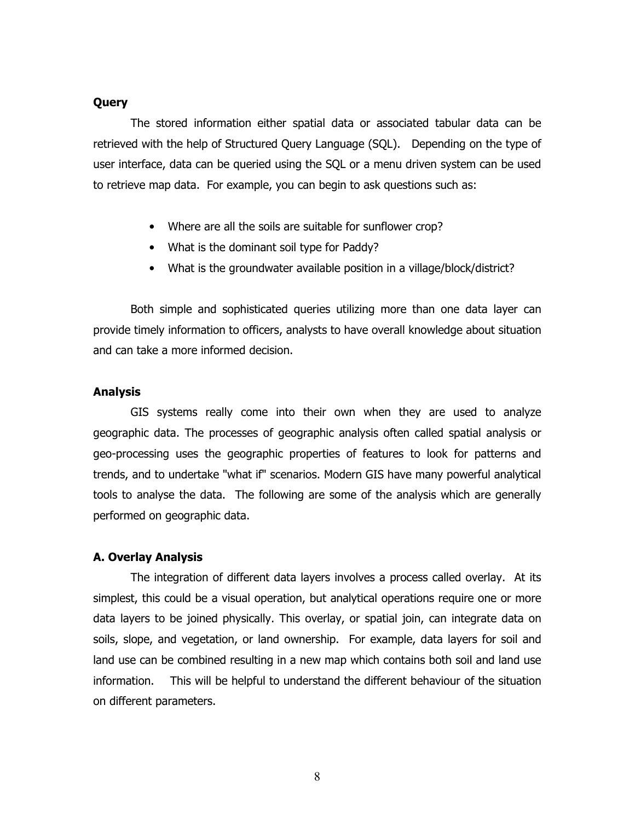# **Query**

 The stored information either spatial data or associated tabular data can be retrieved with the help of Structured Query Language (SQL). Depending on the type of user interface, data can be queried using the SQL or a menu driven system can be used to retrieve map data. For example, you can begin to ask questions such as:

- Where are all the soils are suitable for sunflower crop?
- What is the dominant soil type for Paddy?
- What is the groundwater available position in a village/block/district?

 Both simple and sophisticated queries utilizing more than one data layer can provide timely information to officers, analysts to have overall knowledge about situation and can take a more informed decision.

## Analysis

 GIS systems really come into their own when they are used to analyze geographic data. The processes of geographic analysis often called spatial analysis or geo-processing uses the geographic properties of features to look for patterns and trends, and to undertake "what if" scenarios. Modern GIS have many powerful analytical tools to analyse the data. The following are some of the analysis which are generally performed on geographic data.

## A. Overlay Analysis

 The integration of different data layers involves a process called overlay. At its simplest, this could be a visual operation, but analytical operations require one or more data layers to be joined physically. This overlay, or spatial join, can integrate data on soils, slope, and vegetation, or land ownership. For example, data layers for soil and land use can be combined resulting in a new map which contains both soil and land use information. This will be helpful to understand the different behaviour of the situation on different parameters.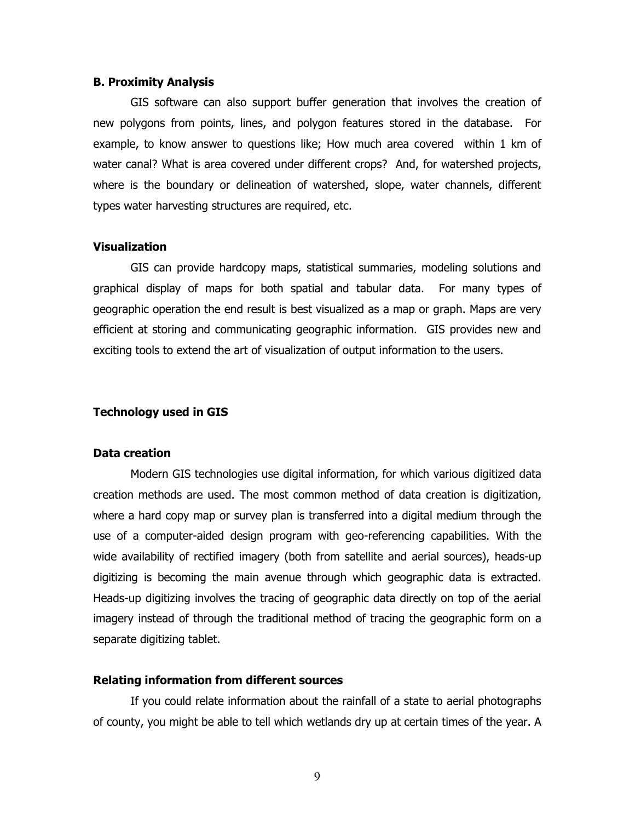### B. Proximity Analysis

 GIS software can also support buffer generation that involves the creation of new polygons from points, lines, and polygon features stored in the database. For example, to know answer to questions like; How much area covered within 1 km of water canal? What is area covered under different crops? And, for watershed projects, where is the boundary or delineation of watershed, slope, water channels, different types water harvesting structures are required, etc.

# Visualization

 GIS can provide hardcopy maps, statistical summaries, modeling solutions and graphical display of maps for both spatial and tabular data. For many types of geographic operation the end result is best visualized as a map or graph. Maps are very efficient at storing and communicating geographic information. GIS provides new and exciting tools to extend the art of visualization of output information to the users.

# Technology used in GIS

#### Data creation

Modern GIS technologies use digital information, for which various digitized data creation methods are used. The most common method of data creation is digitization, where a hard copy map or survey plan is transferred into a digital medium through the use of a computer-aided design program with geo-referencing capabilities. With the wide availability of rectified imagery (both from satellite and aerial sources), heads-up digitizing is becoming the main avenue through which geographic data is extracted. Heads-up digitizing involves the tracing of geographic data directly on top of the aerial imagery instead of through the traditional method of tracing the geographic form on a separate digitizing tablet.

#### Relating information from different sources

If you could relate information about the rainfall of a state to aerial photographs of county, you might be able to tell which wetlands dry up at certain times of the year. A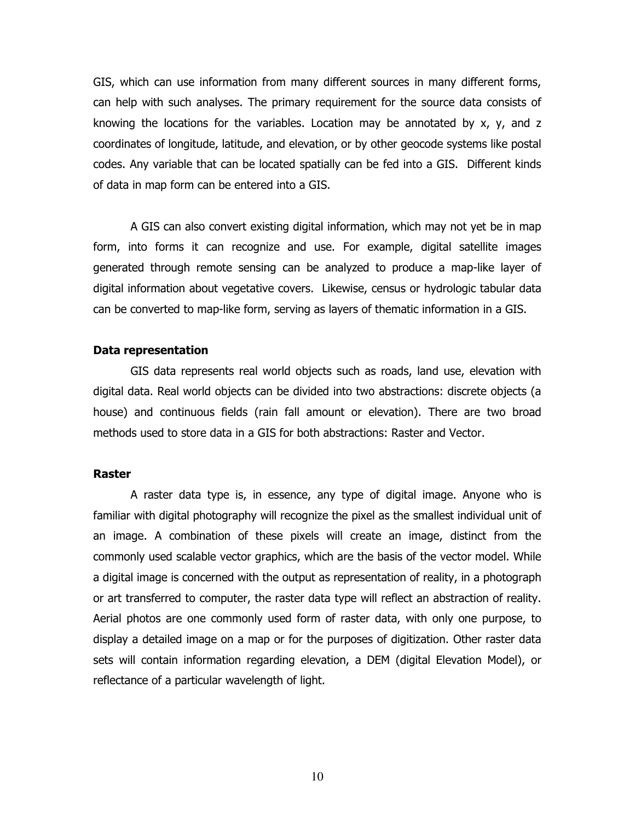GIS, which can use information from many different sources in many different forms, can help with such analyses. The primary requirement for the source data consists of knowing the locations for the variables. Location may be annotated by x, y, and z coordinates of longitude, latitude, and elevation, or by other geocode systems like postal codes. Any variable that can be located spatially can be fed into a GIS. Different kinds of data in map form can be entered into a GIS.

A GIS can also convert existing digital information, which may not yet be in map form, into forms it can recognize and use. For example, digital satellite images generated through remote sensing can be analyzed to produce a map-like layer of digital information about vegetative covers. Likewise, census or hydrologic tabular data can be converted to map-like form, serving as layers of thematic information in a GIS.

#### Data representation

GIS data represents real world objects such as roads, land use, elevation with digital data. Real world objects can be divided into two abstractions: discrete objects (a house) and continuous fields (rain fall amount or elevation). There are two broad methods used to store data in a GIS for both abstractions: Raster and Vector.

#### Raster

A raster data type is, in essence, any type of digital image. Anyone who is familiar with digital photography will recognize the pixel as the smallest individual unit of an image. A combination of these pixels will create an image, distinct from the commonly used scalable vector graphics, which are the basis of the vector model. While a digital image is concerned with the output as representation of reality, in a photograph or art transferred to computer, the raster data type will reflect an abstraction of reality. Aerial photos are one commonly used form of raster data, with only one purpose, to display a detailed image on a map or for the purposes of digitization. Other raster data sets will contain information regarding elevation, a DEM (digital Elevation Model), or reflectance of a particular wavelength of light.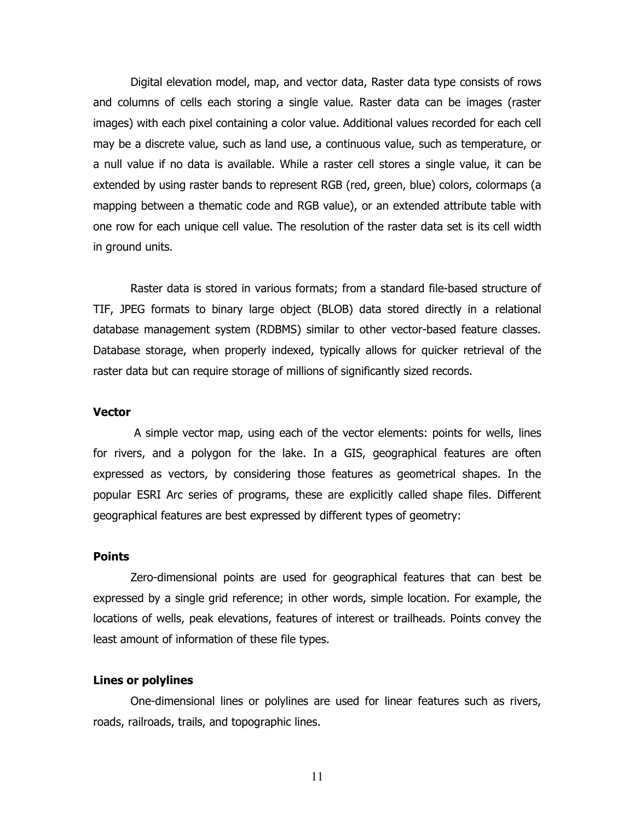Digital elevation model, map, and vector data, Raster data type consists of rows and columns of cells each storing a single value. Raster data can be images (raster images) with each pixel containing a color value. Additional values recorded for each cell may be a discrete value, such as land use, a continuous value, such as temperature, or a null value if no data is available. While a raster cell stores a single value, it can be extended by using raster bands to represent RGB (red, green, blue) colors, colormaps (a mapping between a thematic code and RGB value), or an extended attribute table with one row for each unique cell value. The resolution of the raster data set is its cell width in ground units.

Raster data is stored in various formats; from a standard file-based structure of TIF, JPEG formats to binary large object (BLOB) data stored directly in a relational database management system (RDBMS) similar to other vector-based feature classes. Database storage, when properly indexed, typically allows for quicker retrieval of the raster data but can require storage of millions of significantly sized records.

# Vector

 A simple vector map, using each of the vector elements: points for wells, lines for rivers, and a polygon for the lake. In a GIS, geographical features are often expressed as vectors, by considering those features as geometrical shapes. In the popular ESRI Arc series of programs, these are explicitly called shape files. Different geographical features are best expressed by different types of geometry:

## Points

Zero-dimensional points are used for geographical features that can best be expressed by a single grid reference; in other words, simple location. For example, the locations of wells, peak elevations, features of interest or trailheads. Points convey the least amount of information of these file types.

#### Lines or polylines

One-dimensional lines or polylines are used for linear features such as rivers, roads, railroads, trails, and topographic lines.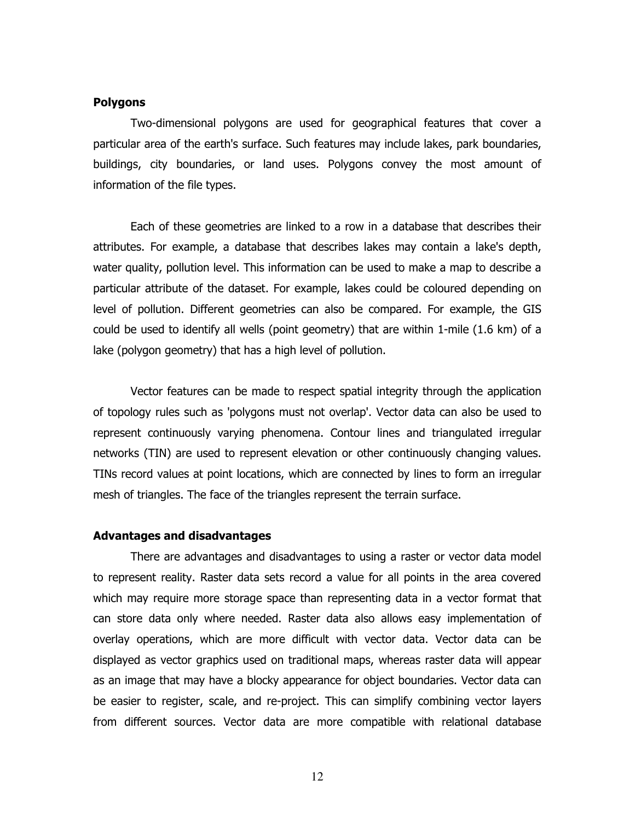# Polygons

Two-dimensional polygons are used for geographical features that cover a particular area of the earth's surface. Such features may include lakes, park boundaries, buildings, city boundaries, or land uses. Polygons convey the most amount of information of the file types.

Each of these geometries are linked to a row in a database that describes their attributes. For example, a database that describes lakes may contain a lake's depth, water quality, pollution level. This information can be used to make a map to describe a particular attribute of the dataset. For example, lakes could be coloured depending on level of pollution. Different geometries can also be compared. For example, the GIS could be used to identify all wells (point geometry) that are within 1-mile (1.6 km) of a lake (polygon geometry) that has a high level of pollution.

Vector features can be made to respect spatial integrity through the application of topology rules such as 'polygons must not overlap'. Vector data can also be used to represent continuously varying phenomena. Contour lines and triangulated irregular networks (TIN) are used to represent elevation or other continuously changing values. TINs record values at point locations, which are connected by lines to form an irregular mesh of triangles. The face of the triangles represent the terrain surface.

### Advantages and disadvantages

There are advantages and disadvantages to using a raster or vector data model to represent reality. Raster data sets record a value for all points in the area covered which may require more storage space than representing data in a vector format that can store data only where needed. Raster data also allows easy implementation of overlay operations, which are more difficult with vector data. Vector data can be displayed as vector graphics used on traditional maps, whereas raster data will appear as an image that may have a blocky appearance for object boundaries. Vector data can be easier to register, scale, and re-project. This can simplify combining vector layers from different sources. Vector data are more compatible with relational database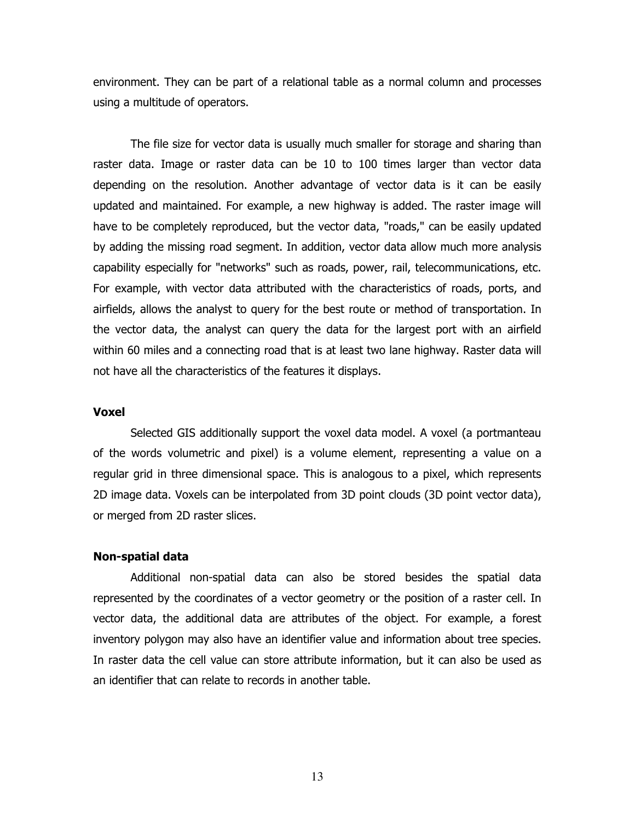environment. They can be part of a relational table as a normal column and processes using a multitude of operators.

The file size for vector data is usually much smaller for storage and sharing than raster data. Image or raster data can be 10 to 100 times larger than vector data depending on the resolution. Another advantage of vector data is it can be easily updated and maintained. For example, a new highway is added. The raster image will have to be completely reproduced, but the vector data, "roads," can be easily updated by adding the missing road segment. In addition, vector data allow much more analysis capability especially for "networks" such as roads, power, rail, telecommunications, etc. For example, with vector data attributed with the characteristics of roads, ports, and airfields, allows the analyst to query for the best route or method of transportation. In the vector data, the analyst can query the data for the largest port with an airfield within 60 miles and a connecting road that is at least two lane highway. Raster data will not have all the characteristics of the features it displays.

## Voxel

Selected GIS additionally support the voxel data model. A voxel (a portmanteau of the words volumetric and pixel) is a volume element, representing a value on a regular grid in three dimensional space. This is analogous to a pixel, which represents 2D image data. Voxels can be interpolated from 3D point clouds (3D point vector data), or merged from 2D raster slices.

#### Non-spatial data

Additional non-spatial data can also be stored besides the spatial data represented by the coordinates of a vector geometry or the position of a raster cell. In vector data, the additional data are attributes of the object. For example, a forest inventory polygon may also have an identifier value and information about tree species. In raster data the cell value can store attribute information, but it can also be used as an identifier that can relate to records in another table.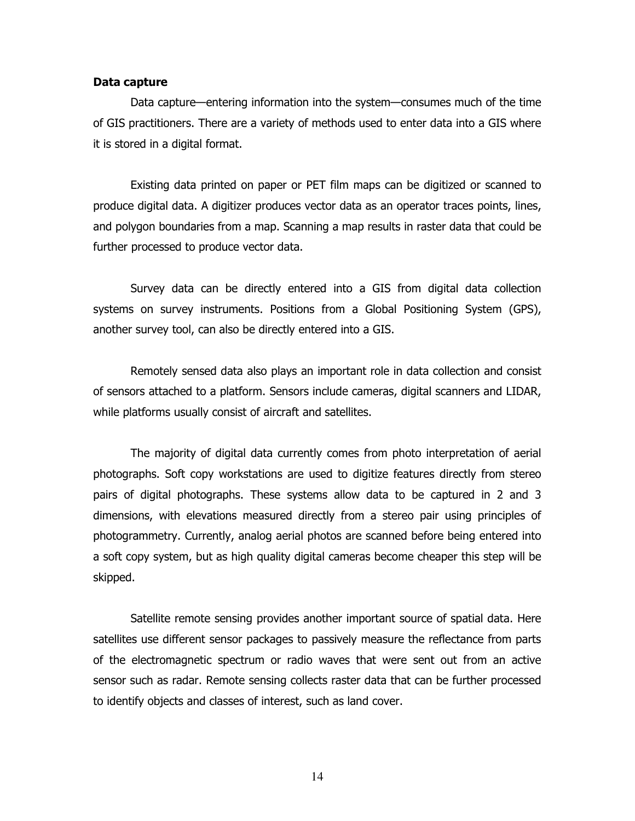#### Data capture

Data capture—entering information into the system—consumes much of the time of GIS practitioners. There are a variety of methods used to enter data into a GIS where it is stored in a digital format.

Existing data printed on paper or PET film maps can be digitized or scanned to produce digital data. A digitizer produces vector data as an operator traces points, lines, and polygon boundaries from a map. Scanning a map results in raster data that could be further processed to produce vector data.

Survey data can be directly entered into a GIS from digital data collection systems on survey instruments. Positions from a Global Positioning System (GPS), another survey tool, can also be directly entered into a GIS.

Remotely sensed data also plays an important role in data collection and consist of sensors attached to a platform. Sensors include cameras, digital scanners and LIDAR, while platforms usually consist of aircraft and satellites.

The majority of digital data currently comes from photo interpretation of aerial photographs. Soft copy workstations are used to digitize features directly from stereo pairs of digital photographs. These systems allow data to be captured in 2 and 3 dimensions, with elevations measured directly from a stereo pair using principles of photogrammetry. Currently, analog aerial photos are scanned before being entered into a soft copy system, but as high quality digital cameras become cheaper this step will be skipped.

Satellite remote sensing provides another important source of spatial data. Here satellites use different sensor packages to passively measure the reflectance from parts of the electromagnetic spectrum or radio waves that were sent out from an active sensor such as radar. Remote sensing collects raster data that can be further processed to identify objects and classes of interest, such as land cover.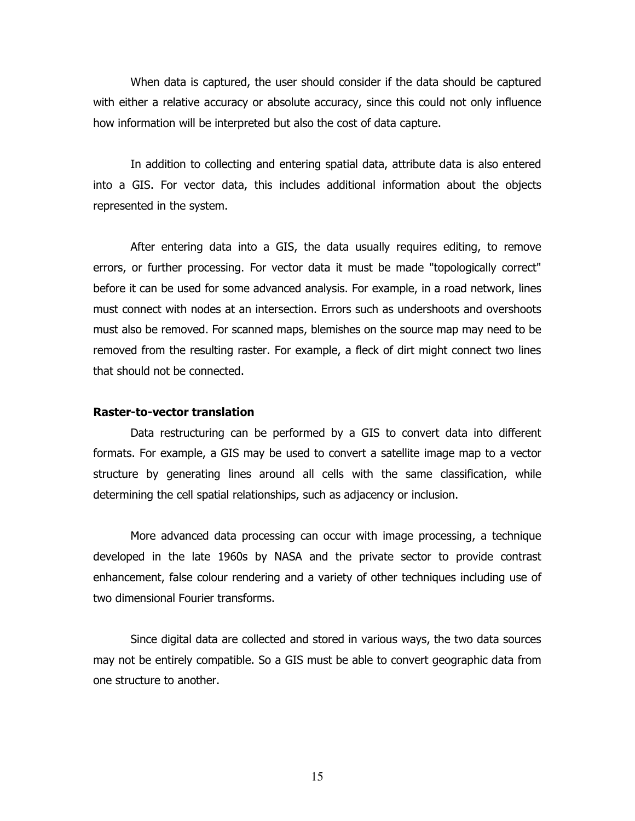When data is captured, the user should consider if the data should be captured with either a relative accuracy or absolute accuracy, since this could not only influence how information will be interpreted but also the cost of data capture.

In addition to collecting and entering spatial data, attribute data is also entered into a GIS. For vector data, this includes additional information about the objects represented in the system.

After entering data into a GIS, the data usually requires editing, to remove errors, or further processing. For vector data it must be made "topologically correct" before it can be used for some advanced analysis. For example, in a road network, lines must connect with nodes at an intersection. Errors such as undershoots and overshoots must also be removed. For scanned maps, blemishes on the source map may need to be removed from the resulting raster. For example, a fleck of dirt might connect two lines that should not be connected.

#### Raster-to-vector translation

Data restructuring can be performed by a GIS to convert data into different formats. For example, a GIS may be used to convert a satellite image map to a vector structure by generating lines around all cells with the same classification, while determining the cell spatial relationships, such as adjacency or inclusion.

More advanced data processing can occur with image processing, a technique developed in the late 1960s by NASA and the private sector to provide contrast enhancement, false colour rendering and a variety of other techniques including use of two dimensional Fourier transforms.

Since digital data are collected and stored in various ways, the two data sources may not be entirely compatible. So a GIS must be able to convert geographic data from one structure to another.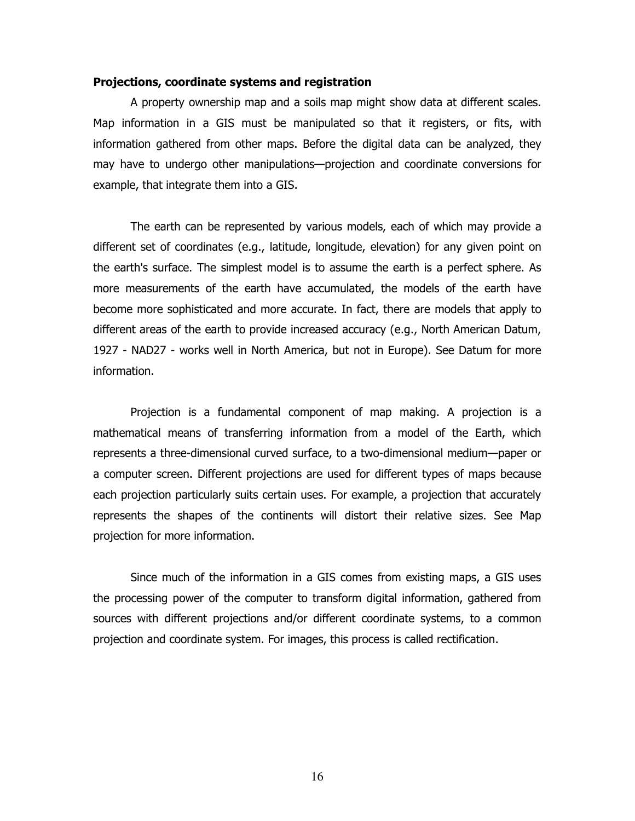#### Projections, coordinate systems and registration

A property ownership map and a soils map might show data at different scales. Map information in a GIS must be manipulated so that it registers, or fits, with information gathered from other maps. Before the digital data can be analyzed, they may have to undergo other manipulations—projection and coordinate conversions for example, that integrate them into a GIS.

The earth can be represented by various models, each of which may provide a different set of coordinates (e.g., latitude, longitude, elevation) for any given point on the earth's surface. The simplest model is to assume the earth is a perfect sphere. As more measurements of the earth have accumulated, the models of the earth have become more sophisticated and more accurate. In fact, there are models that apply to different areas of the earth to provide increased accuracy (e.g., North American Datum, 1927 - NAD27 - works well in North America, but not in Europe). See Datum for more information.

Projection is a fundamental component of map making. A projection is a mathematical means of transferring information from a model of the Earth, which represents a three-dimensional curved surface, to a two-dimensional medium—paper or a computer screen. Different projections are used for different types of maps because each projection particularly suits certain uses. For example, a projection that accurately represents the shapes of the continents will distort their relative sizes. See Map projection for more information.

Since much of the information in a GIS comes from existing maps, a GIS uses the processing power of the computer to transform digital information, gathered from sources with different projections and/or different coordinate systems, to a common projection and coordinate system. For images, this process is called rectification.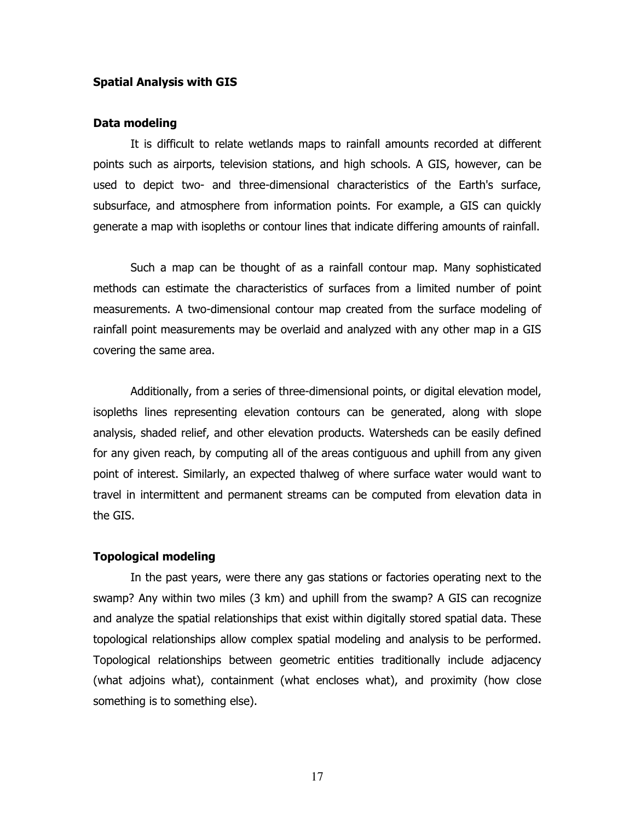## Spatial Analysis with GIS

#### Data modeling

It is difficult to relate wetlands maps to rainfall amounts recorded at different points such as airports, television stations, and high schools. A GIS, however, can be used to depict two- and three-dimensional characteristics of the Earth's surface, subsurface, and atmosphere from information points. For example, a GIS can quickly generate a map with isopleths or contour lines that indicate differing amounts of rainfall.

Such a map can be thought of as a rainfall contour map. Many sophisticated methods can estimate the characteristics of surfaces from a limited number of point measurements. A two-dimensional contour map created from the surface modeling of rainfall point measurements may be overlaid and analyzed with any other map in a GIS covering the same area.

Additionally, from a series of three-dimensional points, or digital elevation model, isopleths lines representing elevation contours can be generated, along with slope analysis, shaded relief, and other elevation products. Watersheds can be easily defined for any given reach, by computing all of the areas contiguous and uphill from any given point of interest. Similarly, an expected thalweg of where surface water would want to travel in intermittent and permanent streams can be computed from elevation data in the GIS.

#### Topological modeling

In the past years, were there any gas stations or factories operating next to the swamp? Any within two miles (3 km) and uphill from the swamp? A GIS can recognize and analyze the spatial relationships that exist within digitally stored spatial data. These topological relationships allow complex spatial modeling and analysis to be performed. Topological relationships between geometric entities traditionally include adjacency (what adjoins what), containment (what encloses what), and proximity (how close something is to something else).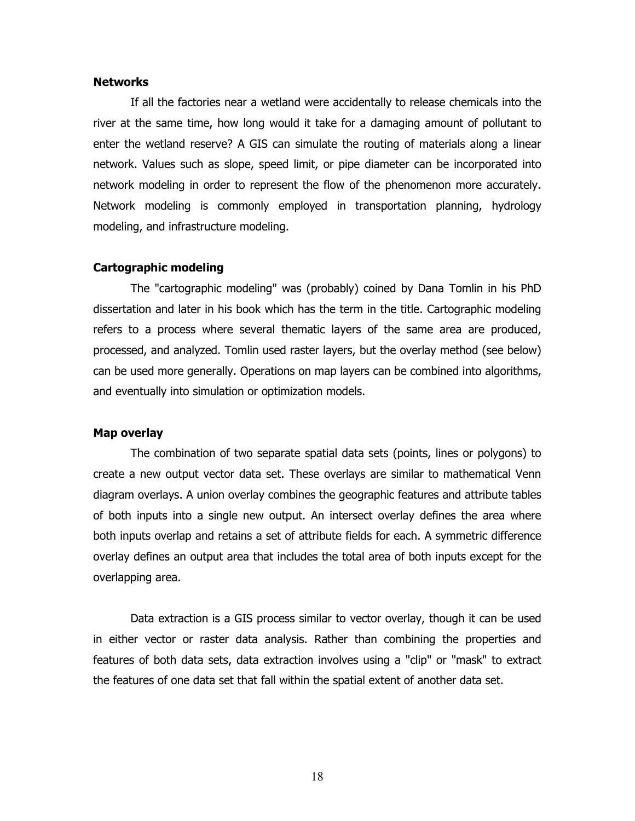#### **Networks**

If all the factories near a wetland were accidentally to release chemicals into the river at the same time, how long would it take for a damaging amount of pollutant to enter the wetland reserve? A GIS can simulate the routing of materials along a linear network. Values such as slope, speed limit, or pipe diameter can be incorporated into network modeling in order to represent the flow of the phenomenon more accurately. Network modeling is commonly employed in transportation planning, hydrology modeling, and infrastructure modeling.

### Cartographic modeling

The "cartographic modeling" was (probably) coined by Dana Tomlin in his PhD dissertation and later in his book which has the term in the title. Cartographic modeling refers to a process where several thematic layers of the same area are produced, processed, and analyzed. Tomlin used raster layers, but the overlay method (see below) can be used more generally. Operations on map layers can be combined into algorithms, and eventually into simulation or optimization models.

### Map overlay

The combination of two separate spatial data sets (points, lines or polygons) to create a new output vector data set. These overlays are similar to mathematical Venn diagram overlays. A union overlay combines the geographic features and attribute tables of both inputs into a single new output. An intersect overlay defines the area where both inputs overlap and retains a set of attribute fields for each. A symmetric difference overlay defines an output area that includes the total area of both inputs except for the overlapping area.

Data extraction is a GIS process similar to vector overlay, though it can be used in either vector or raster data analysis. Rather than combining the properties and features of both data sets, data extraction involves using a "clip" or "mask" to extract the features of one data set that fall within the spatial extent of another data set.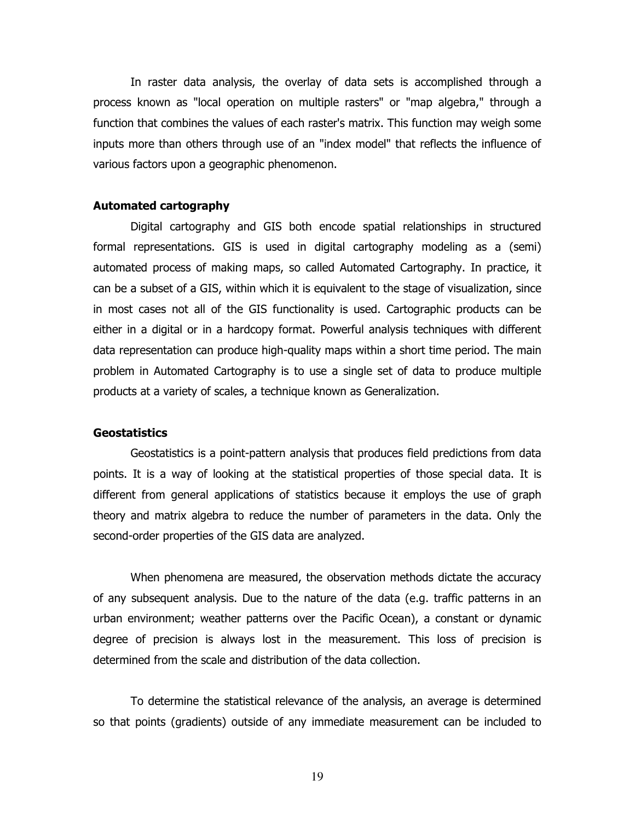In raster data analysis, the overlay of data sets is accomplished through a process known as "local operation on multiple rasters" or "map algebra," through a function that combines the values of each raster's matrix. This function may weigh some inputs more than others through use of an "index model" that reflects the influence of various factors upon a geographic phenomenon.

## Automated cartography

Digital cartography and GIS both encode spatial relationships in structured formal representations. GIS is used in digital cartography modeling as a (semi) automated process of making maps, so called Automated Cartography. In practice, it can be a subset of a GIS, within which it is equivalent to the stage of visualization, since in most cases not all of the GIS functionality is used. Cartographic products can be either in a digital or in a hardcopy format. Powerful analysis techniques with different data representation can produce high-quality maps within a short time period. The main problem in Automated Cartography is to use a single set of data to produce multiple products at a variety of scales, a technique known as Generalization.

### **Geostatistics**

Geostatistics is a point-pattern analysis that produces field predictions from data points. It is a way of looking at the statistical properties of those special data. It is different from general applications of statistics because it employs the use of graph theory and matrix algebra to reduce the number of parameters in the data. Only the second-order properties of the GIS data are analyzed.

When phenomena are measured, the observation methods dictate the accuracy of any subsequent analysis. Due to the nature of the data (e.g. traffic patterns in an urban environment; weather patterns over the Pacific Ocean), a constant or dynamic degree of precision is always lost in the measurement. This loss of precision is determined from the scale and distribution of the data collection.

To determine the statistical relevance of the analysis, an average is determined so that points (gradients) outside of any immediate measurement can be included to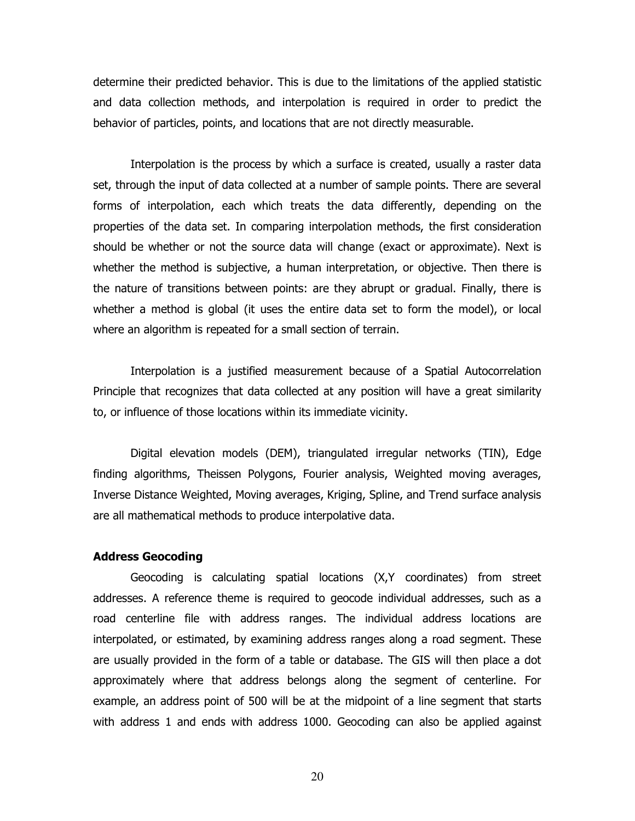determine their predicted behavior. This is due to the limitations of the applied statistic and data collection methods, and interpolation is required in order to predict the behavior of particles, points, and locations that are not directly measurable.

Interpolation is the process by which a surface is created, usually a raster data set, through the input of data collected at a number of sample points. There are several forms of interpolation, each which treats the data differently, depending on the properties of the data set. In comparing interpolation methods, the first consideration should be whether or not the source data will change (exact or approximate). Next is whether the method is subjective, a human interpretation, or objective. Then there is the nature of transitions between points: are they abrupt or gradual. Finally, there is whether a method is global (it uses the entire data set to form the model), or local where an algorithm is repeated for a small section of terrain.

Interpolation is a justified measurement because of a Spatial Autocorrelation Principle that recognizes that data collected at any position will have a great similarity to, or influence of those locations within its immediate vicinity.

Digital elevation models (DEM), triangulated irregular networks (TIN), Edge finding algorithms, Theissen Polygons, Fourier analysis, Weighted moving averages, Inverse Distance Weighted, Moving averages, Kriging, Spline, and Trend surface analysis are all mathematical methods to produce interpolative data.

#### Address Geocoding

Geocoding is calculating spatial locations (X,Y coordinates) from street addresses. A reference theme is required to geocode individual addresses, such as a road centerline file with address ranges. The individual address locations are interpolated, or estimated, by examining address ranges along a road segment. These are usually provided in the form of a table or database. The GIS will then place a dot approximately where that address belongs along the segment of centerline. For example, an address point of 500 will be at the midpoint of a line segment that starts with address 1 and ends with address 1000. Geocoding can also be applied against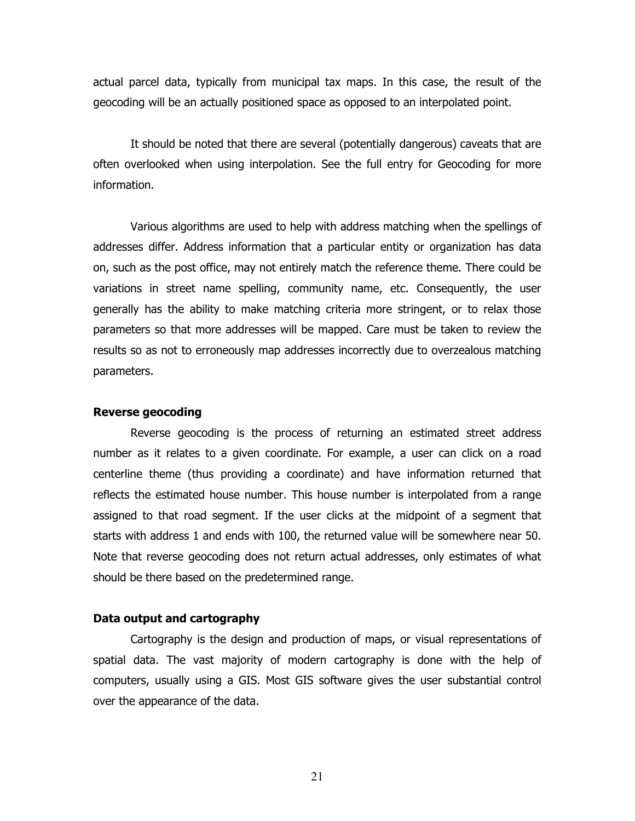actual parcel data, typically from municipal tax maps. In this case, the result of the geocoding will be an actually positioned space as opposed to an interpolated point.

It should be noted that there are several (potentially dangerous) caveats that are often overlooked when using interpolation. See the full entry for Geocoding for more information.

Various algorithms are used to help with address matching when the spellings of addresses differ. Address information that a particular entity or organization has data on, such as the post office, may not entirely match the reference theme. There could be variations in street name spelling, community name, etc. Consequently, the user generally has the ability to make matching criteria more stringent, or to relax those parameters so that more addresses will be mapped. Care must be taken to review the results so as not to erroneously map addresses incorrectly due to overzealous matching parameters.

#### Reverse geocoding

Reverse geocoding is the process of returning an estimated street address number as it relates to a given coordinate. For example, a user can click on a road centerline theme (thus providing a coordinate) and have information returned that reflects the estimated house number. This house number is interpolated from a range assigned to that road segment. If the user clicks at the midpoint of a segment that starts with address 1 and ends with 100, the returned value will be somewhere near 50. Note that reverse geocoding does not return actual addresses, only estimates of what should be there based on the predetermined range.

#### Data output and cartography

Cartography is the design and production of maps, or visual representations of spatial data. The vast majority of modern cartography is done with the help of computers, usually using a GIS. Most GIS software gives the user substantial control over the appearance of the data.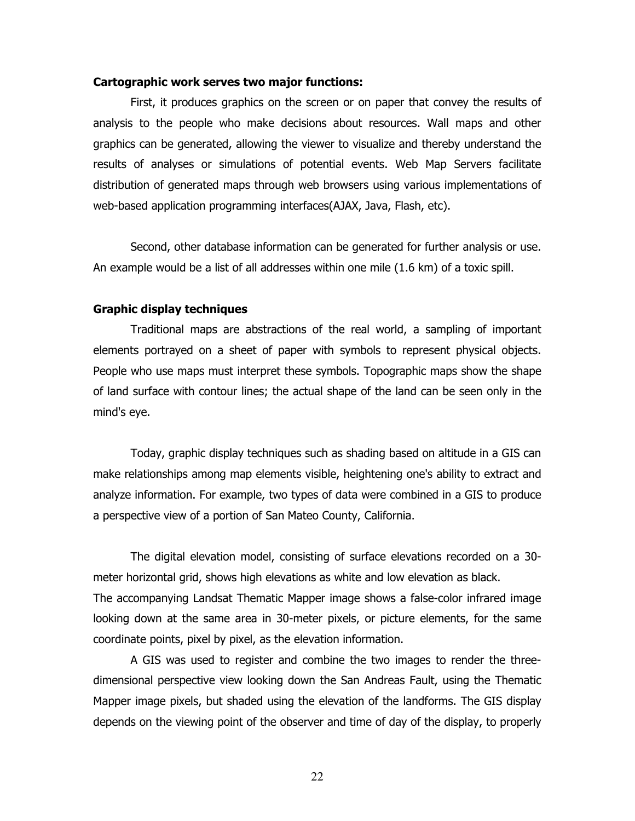#### Cartographic work serves two major functions:

First, it produces graphics on the screen or on paper that convey the results of analysis to the people who make decisions about resources. Wall maps and other graphics can be generated, allowing the viewer to visualize and thereby understand the results of analyses or simulations of potential events. Web Map Servers facilitate distribution of generated maps through web browsers using various implementations of web-based application programming interfaces(AJAX, Java, Flash, etc).

Second, other database information can be generated for further analysis or use. An example would be a list of all addresses within one mile (1.6 km) of a toxic spill.

#### Graphic display techniques

Traditional maps are abstractions of the real world, a sampling of important elements portrayed on a sheet of paper with symbols to represent physical objects. People who use maps must interpret these symbols. Topographic maps show the shape of land surface with contour lines; the actual shape of the land can be seen only in the mind's eye.

Today, graphic display techniques such as shading based on altitude in a GIS can make relationships among map elements visible, heightening one's ability to extract and analyze information. For example, two types of data were combined in a GIS to produce a perspective view of a portion of San Mateo County, California.

The digital elevation model, consisting of surface elevations recorded on a 30 meter horizontal grid, shows high elevations as white and low elevation as black. The accompanying Landsat Thematic Mapper image shows a false-color infrared image looking down at the same area in 30-meter pixels, or picture elements, for the same coordinate points, pixel by pixel, as the elevation information.

A GIS was used to register and combine the two images to render the threedimensional perspective view looking down the San Andreas Fault, using the Thematic Mapper image pixels, but shaded using the elevation of the landforms. The GIS display depends on the viewing point of the observer and time of day of the display, to properly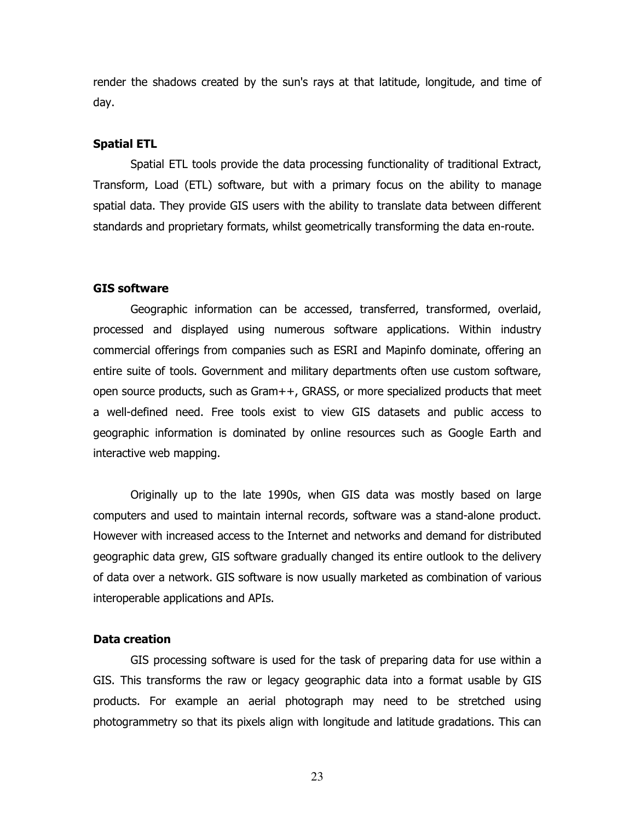render the shadows created by the sun's rays at that latitude, longitude, and time of day.

#### Spatial ETL

Spatial ETL tools provide the data processing functionality of traditional Extract, Transform, Load (ETL) software, but with a primary focus on the ability to manage spatial data. They provide GIS users with the ability to translate data between different standards and proprietary formats, whilst geometrically transforming the data en-route.

#### GIS software

Geographic information can be accessed, transferred, transformed, overlaid, processed and displayed using numerous software applications. Within industry commercial offerings from companies such as ESRI and Mapinfo dominate, offering an entire suite of tools. Government and military departments often use custom software, open source products, such as Gram++, GRASS, or more specialized products that meet a well-defined need. Free tools exist to view GIS datasets and public access to geographic information is dominated by online resources such as Google Earth and interactive web mapping.

Originally up to the late 1990s, when GIS data was mostly based on large computers and used to maintain internal records, software was a stand-alone product. However with increased access to the Internet and networks and demand for distributed geographic data grew, GIS software gradually changed its entire outlook to the delivery of data over a network. GIS software is now usually marketed as combination of various interoperable applications and APIs.

# Data creation

GIS processing software is used for the task of preparing data for use within a GIS. This transforms the raw or legacy geographic data into a format usable by GIS products. For example an aerial photograph may need to be stretched using photogrammetry so that its pixels align with longitude and latitude gradations. This can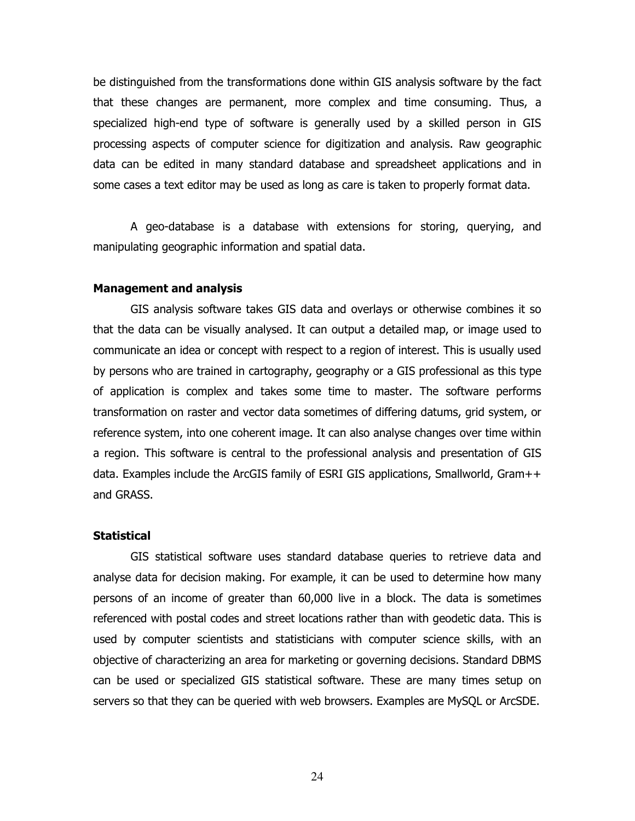be distinguished from the transformations done within GIS analysis software by the fact that these changes are permanent, more complex and time consuming. Thus, a specialized high-end type of software is generally used by a skilled person in GIS processing aspects of computer science for digitization and analysis. Raw geographic data can be edited in many standard database and spreadsheet applications and in some cases a text editor may be used as long as care is taken to properly format data.

A geo-database is a database with extensions for storing, querying, and manipulating geographic information and spatial data.

#### Management and analysis

GIS analysis software takes GIS data and overlays or otherwise combines it so that the data can be visually analysed. It can output a detailed map, or image used to communicate an idea or concept with respect to a region of interest. This is usually used by persons who are trained in cartography, geography or a GIS professional as this type of application is complex and takes some time to master. The software performs transformation on raster and vector data sometimes of differing datums, grid system, or reference system, into one coherent image. It can also analyse changes over time within a region. This software is central to the professional analysis and presentation of GIS data. Examples include the ArcGIS family of ESRI GIS applications, Smallworld, Gram++ and GRASS.

### **Statistical**

GIS statistical software uses standard database queries to retrieve data and analyse data for decision making. For example, it can be used to determine how many persons of an income of greater than 60,000 live in a block. The data is sometimes referenced with postal codes and street locations rather than with geodetic data. This is used by computer scientists and statisticians with computer science skills, with an objective of characterizing an area for marketing or governing decisions. Standard DBMS can be used or specialized GIS statistical software. These are many times setup on servers so that they can be queried with web browsers. Examples are MySQL or ArcSDE.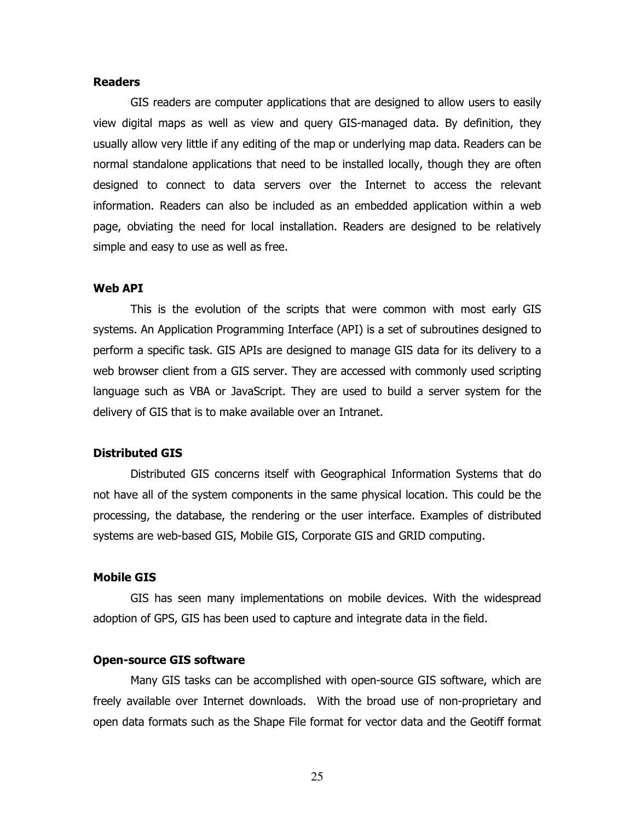#### Readers

GIS readers are computer applications that are designed to allow users to easily view digital maps as well as view and query GIS-managed data. By definition, they usually allow very little if any editing of the map or underlying map data. Readers can be normal standalone applications that need to be installed locally, though they are often designed to connect to data servers over the Internet to access the relevant information. Readers can also be included as an embedded application within a web page, obviating the need for local installation. Readers are designed to be relatively simple and easy to use as well as free.

#### Web API

This is the evolution of the scripts that were common with most early GIS systems. An Application Programming Interface (API) is a set of subroutines designed to perform a specific task. GIS APIs are designed to manage GIS data for its delivery to a web browser client from a GIS server. They are accessed with commonly used scripting language such as VBA or JavaScript. They are used to build a server system for the delivery of GIS that is to make available over an Intranet.

#### Distributed GIS

Distributed GIS concerns itself with Geographical Information Systems that do not have all of the system components in the same physical location. This could be the processing, the database, the rendering or the user interface. Examples of distributed systems are web-based GIS, Mobile GIS, Corporate GIS and GRID computing.

## Mobile GIS

GIS has seen many implementations on mobile devices. With the widespread adoption of GPS, GIS has been used to capture and integrate data in the field.

#### Open-source GIS software

Many GIS tasks can be accomplished with open-source GIS software, which are freely available over Internet downloads. With the broad use of non-proprietary and open data formats such as the Shape File format for vector data and the Geotiff format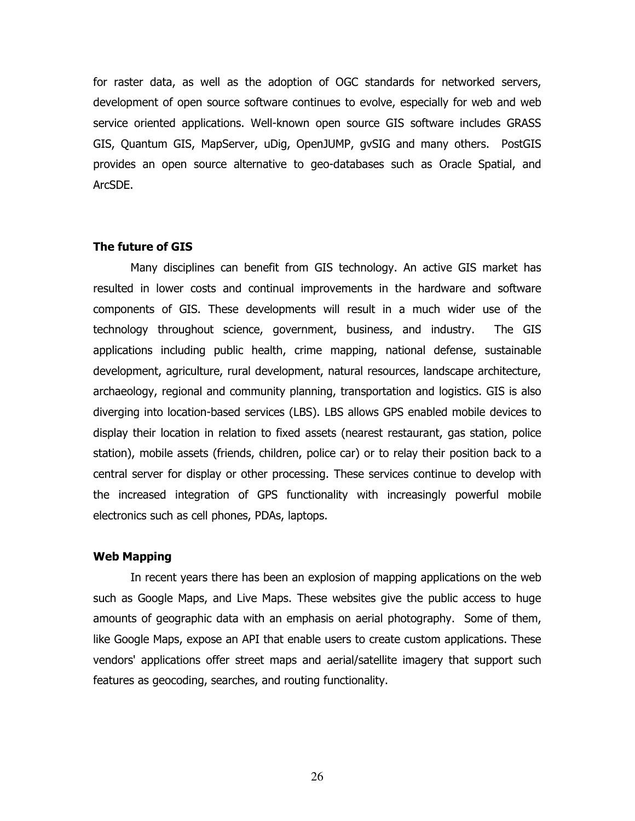for raster data, as well as the adoption of OGC standards for networked servers, development of open source software continues to evolve, especially for web and web service oriented applications. Well-known open source GIS software includes GRASS GIS, Quantum GIS, MapServer, uDig, OpenJUMP, gvSIG and many others. PostGIS provides an open source alternative to geo-databases such as Oracle Spatial, and ArcSDE.

#### The future of GIS

Many disciplines can benefit from GIS technology. An active GIS market has resulted in lower costs and continual improvements in the hardware and software components of GIS. These developments will result in a much wider use of the technology throughout science, government, business, and industry. The GIS applications including public health, crime mapping, national defense, sustainable development, agriculture, rural development, natural resources, landscape architecture, archaeology, regional and community planning, transportation and logistics. GIS is also diverging into location-based services (LBS). LBS allows GPS enabled mobile devices to display their location in relation to fixed assets (nearest restaurant, gas station, police station), mobile assets (friends, children, police car) or to relay their position back to a central server for display or other processing. These services continue to develop with the increased integration of GPS functionality with increasingly powerful mobile electronics such as cell phones, PDAs, laptops.

#### Web Mapping

In recent years there has been an explosion of mapping applications on the web such as Google Maps, and Live Maps. These websites give the public access to huge amounts of geographic data with an emphasis on aerial photography. Some of them, like Google Maps, expose an API that enable users to create custom applications. These vendors' applications offer street maps and aerial/satellite imagery that support such features as geocoding, searches, and routing functionality.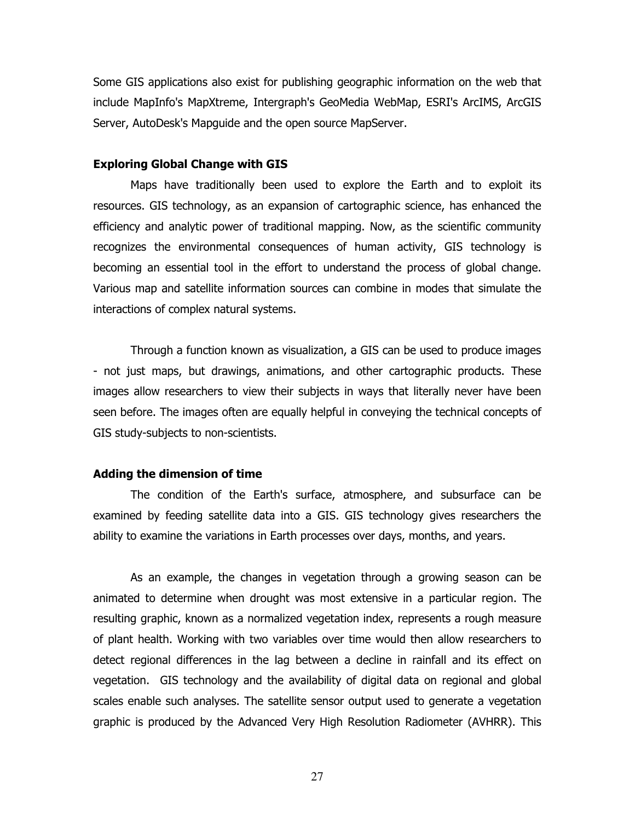Some GIS applications also exist for publishing geographic information on the web that include MapInfo's MapXtreme, Intergraph's GeoMedia WebMap, ESRI's ArcIMS, ArcGIS Server, AutoDesk's Mapguide and the open source MapServer.

#### Exploring Global Change with GIS

Maps have traditionally been used to explore the Earth and to exploit its resources. GIS technology, as an expansion of cartographic science, has enhanced the efficiency and analytic power of traditional mapping. Now, as the scientific community recognizes the environmental consequences of human activity, GIS technology is becoming an essential tool in the effort to understand the process of global change. Various map and satellite information sources can combine in modes that simulate the interactions of complex natural systems.

Through a function known as visualization, a GIS can be used to produce images - not just maps, but drawings, animations, and other cartographic products. These images allow researchers to view their subjects in ways that literally never have been seen before. The images often are equally helpful in conveying the technical concepts of GIS study-subjects to non-scientists.

#### Adding the dimension of time

The condition of the Earth's surface, atmosphere, and subsurface can be examined by feeding satellite data into a GIS. GIS technology gives researchers the ability to examine the variations in Earth processes over days, months, and years.

As an example, the changes in vegetation through a growing season can be animated to determine when drought was most extensive in a particular region. The resulting graphic, known as a normalized vegetation index, represents a rough measure of plant health. Working with two variables over time would then allow researchers to detect regional differences in the lag between a decline in rainfall and its effect on vegetation. GIS technology and the availability of digital data on regional and global scales enable such analyses. The satellite sensor output used to generate a vegetation graphic is produced by the Advanced Very High Resolution Radiometer (AVHRR). This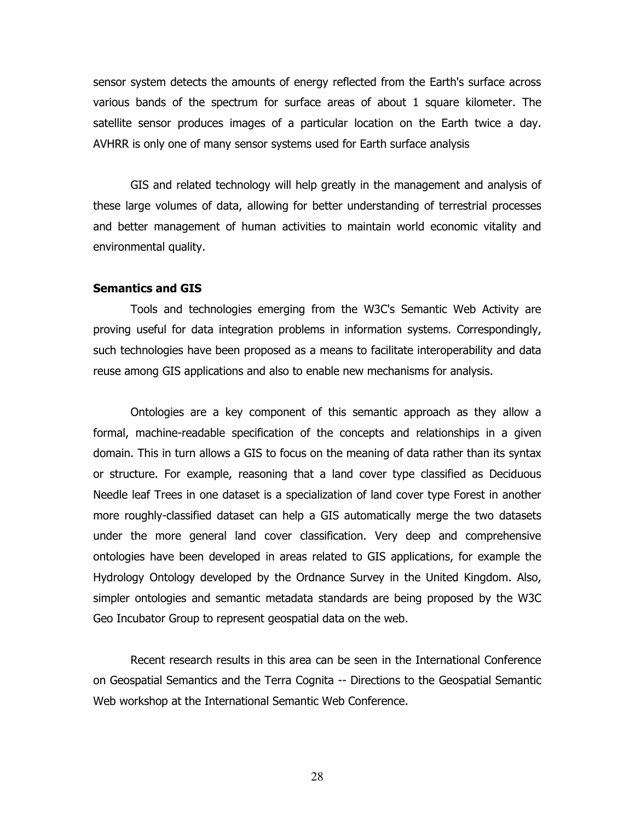sensor system detects the amounts of energy reflected from the Earth's surface across various bands of the spectrum for surface areas of about 1 square kilometer. The satellite sensor produces images of a particular location on the Earth twice a day. AVHRR is only one of many sensor systems used for Earth surface analysis

GIS and related technology will help greatly in the management and analysis of these large volumes of data, allowing for better understanding of terrestrial processes and better management of human activities to maintain world economic vitality and environmental quality.

## Semantics and GIS

Tools and technologies emerging from the W3C's Semantic Web Activity are proving useful for data integration problems in information systems. Correspondingly, such technologies have been proposed as a means to facilitate interoperability and data reuse among GIS applications and also to enable new mechanisms for analysis.

Ontologies are a key component of this semantic approach as they allow a formal, machine-readable specification of the concepts and relationships in a given domain. This in turn allows a GIS to focus on the meaning of data rather than its syntax or structure. For example, reasoning that a land cover type classified as Deciduous Needle leaf Trees in one dataset is a specialization of land cover type Forest in another more roughly-classified dataset can help a GIS automatically merge the two datasets under the more general land cover classification. Very deep and comprehensive ontologies have been developed in areas related to GIS applications, for example the Hydrology Ontology developed by the Ordnance Survey in the United Kingdom. Also, simpler ontologies and semantic metadata standards are being proposed by the W3C Geo Incubator Group to represent geospatial data on the web.

Recent research results in this area can be seen in the International Conference on Geospatial Semantics and the Terra Cognita -- Directions to the Geospatial Semantic Web workshop at the International Semantic Web Conference.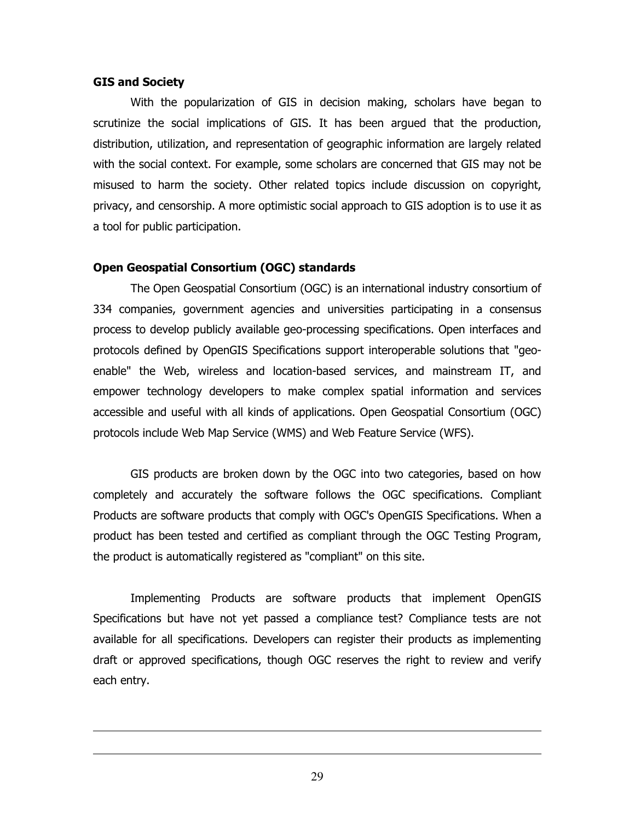## GIS and Society

With the popularization of GIS in decision making, scholars have began to scrutinize the social implications of GIS. It has been argued that the production, distribution, utilization, and representation of geographic information are largely related with the social context. For example, some scholars are concerned that GIS may not be misused to harm the society. Other related topics include discussion on copyright, privacy, and censorship. A more optimistic social approach to GIS adoption is to use it as a tool for public participation.

### Open Geospatial Consortium (OGC) standards

The Open Geospatial Consortium (OGC) is an international industry consortium of 334 companies, government agencies and universities participating in a consensus process to develop publicly available geo-processing specifications. Open interfaces and protocols defined by OpenGIS Specifications support interoperable solutions that "geoenable" the Web, wireless and location-based services, and mainstream IT, and empower technology developers to make complex spatial information and services accessible and useful with all kinds of applications. Open Geospatial Consortium (OGC) protocols include Web Map Service (WMS) and Web Feature Service (WFS).

GIS products are broken down by the OGC into two categories, based on how completely and accurately the software follows the OGC specifications. Compliant Products are software products that comply with OGC's OpenGIS Specifications. When a product has been tested and certified as compliant through the OGC Testing Program, the product is automatically registered as "compliant" on this site.

Implementing Products are software products that implement OpenGIS Specifications but have not yet passed a compliance test? Compliance tests are not available for all specifications. Developers can register their products as implementing draft or approved specifications, though OGC reserves the right to review and verify each entry.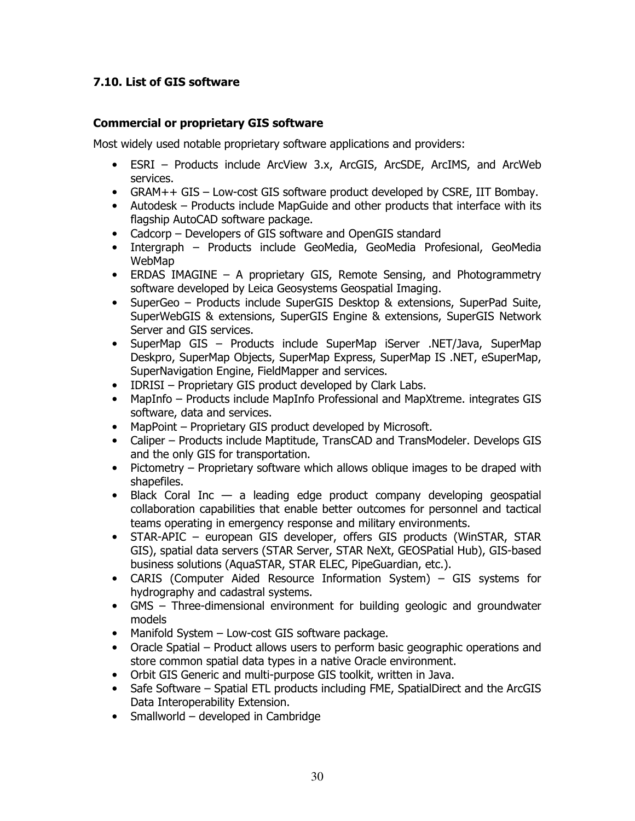# 7.10. List of GIS software

# Commercial or proprietary GIS software

Most widely used notable proprietary software applications and providers:

- ESRI Products include ArcView 3.x, ArcGIS, ArcSDE, ArcIMS, and ArcWeb services.
- GRAM++ GIS Low-cost GIS software product developed by CSRE, IIT Bombay.
- Autodesk Products include MapGuide and other products that interface with its flagship AutoCAD software package.
- Cadcorp Developers of GIS software and OpenGIS standard
- Intergraph Products include GeoMedia, GeoMedia Profesional, GeoMedia WebMap
- ERDAS IMAGINE A proprietary GIS, Remote Sensing, and Photogrammetry software developed by Leica Geosystems Geospatial Imaging.
- SuperGeo Products include SuperGIS Desktop & extensions, SuperPad Suite, SuperWebGIS & extensions, SuperGIS Engine & extensions, SuperGIS Network Server and GIS services.
- SuperMap GIS Products include SuperMap iServer .NET/Java, SuperMap Deskpro, SuperMap Objects, SuperMap Express, SuperMap IS .NET, eSuperMap, SuperNavigation Engine, FieldMapper and services.
- IDRISI Proprietary GIS product developed by Clark Labs.
- MapInfo Products include MapInfo Professional and MapXtreme. integrates GIS software, data and services.
- MapPoint Proprietary GIS product developed by Microsoft.
- Caliper Products include Maptitude, TransCAD and TransModeler. Develops GIS and the only GIS for transportation.
- Pictometry Proprietary software which allows oblique images to be draped with shapefiles.
- Black Coral Inc a leading edge product company developing geospatial collaboration capabilities that enable better outcomes for personnel and tactical teams operating in emergency response and military environments.
- STAR-APIC european GIS developer, offers GIS products (WinSTAR, STAR GIS), spatial data servers (STAR Server, STAR NeXt, GEOSPatial Hub), GIS-based business solutions (AquaSTAR, STAR ELEC, PipeGuardian, etc.).
- CARIS (Computer Aided Resource Information System) GIS systems for hydrography and cadastral systems.
- GMS Three-dimensional environment for building geologic and groundwater models
- Manifold System Low-cost GIS software package.
- Oracle Spatial Product allows users to perform basic geographic operations and store common spatial data types in a native Oracle environment.
- Orbit GIS Generic and multi-purpose GIS toolkit, written in Java.
- Safe Software Spatial ETL products including FME, SpatialDirect and the ArcGIS Data Interoperability Extension.
- Smallworld developed in Cambridge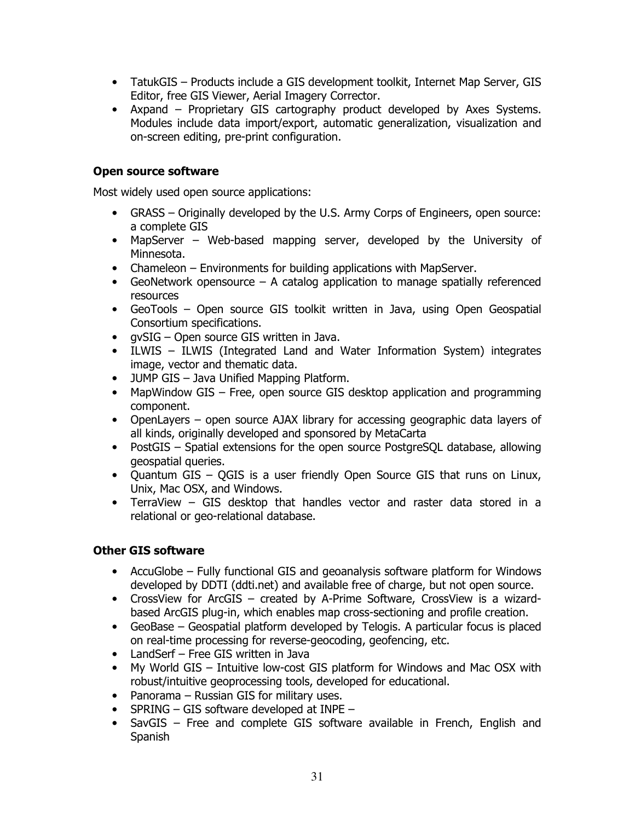- TatukGIS Products include a GIS development toolkit, Internet Map Server, GIS Editor, free GIS Viewer, Aerial Imagery Corrector.
- Axpand Proprietary GIS cartography product developed by Axes Systems. Modules include data import/export, automatic generalization, visualization and on-screen editing, pre-print configuration.

# Open source software

Most widely used open source applications:

- GRASS Originally developed by the U.S. Army Corps of Engineers, open source: a complete GIS
- MapServer Web-based mapping server, developed by the University of Minnesota.
- Chameleon Environments for building applications with MapServer.
- GeoNetwork opensource  $-$  A catalog application to manage spatially referenced resources
- GeoTools Open source GIS toolkit written in Java, using Open Geospatial Consortium specifications.
- gvSIG Open source GIS written in Java.
- ILWIS ILWIS (Integrated Land and Water Information System) integrates image, vector and thematic data.
- JUMP GIS Java Unified Mapping Platform.
- MapWindow GIS Free, open source GIS desktop application and programming component.
- OpenLayers open source AJAX library for accessing geographic data layers of all kinds, originally developed and sponsored by MetaCarta
- PostGIS Spatial extensions for the open source PostgreSQL database, allowing geospatial queries.
- Quantum GIS QGIS is a user friendly Open Source GIS that runs on Linux, Unix, Mac OSX, and Windows.
- TerraView GIS desktop that handles vector and raster data stored in a relational or geo-relational database.

# Other GIS software

- AccuGlobe Fully functional GIS and geoanalysis software platform for Windows developed by DDTI (ddti.net) and available free of charge, but not open source.
- CrossView for ArcGIS created by A-Prime Software, CrossView is a wizardbased ArcGIS plug-in, which enables map cross-sectioning and profile creation.
- GeoBase Geospatial platform developed by Telogis. A particular focus is placed on real-time processing for reverse-geocoding, geofencing, etc.
- LandSerf Free GIS written in Java
- My World GIS Intuitive low-cost GIS platform for Windows and Mac OSX with robust/intuitive geoprocessing tools, developed for educational.
- Panorama Russian GIS for military uses.
- SPRING GIS software developed at INPE –
- SavGIS Free and complete GIS software available in French, English and Spanish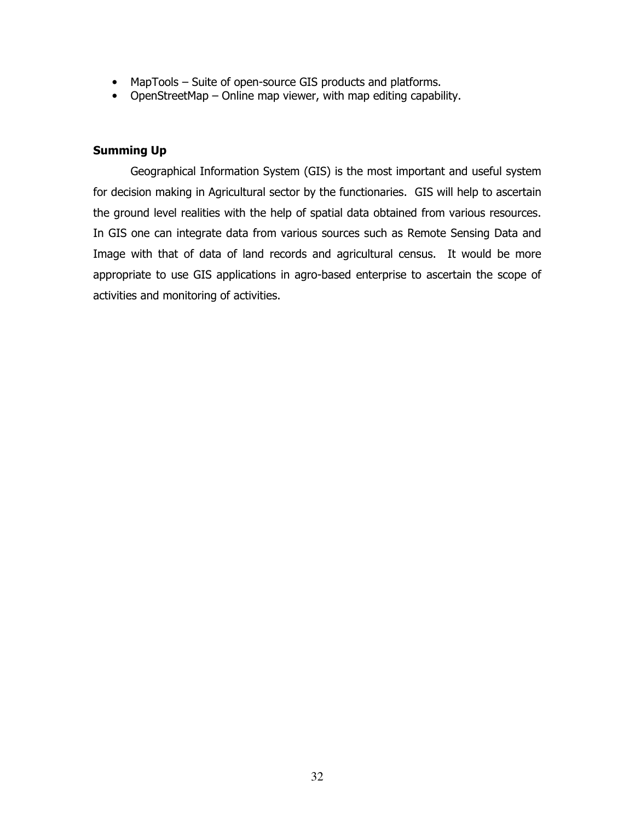- MapTools Suite of open-source GIS products and platforms.
- OpenStreetMap Online map viewer, with map editing capability.

# Summing Up

Geographical Information System (GIS) is the most important and useful system for decision making in Agricultural sector by the functionaries. GIS will help to ascertain the ground level realities with the help of spatial data obtained from various resources. In GIS one can integrate data from various sources such as Remote Sensing Data and Image with that of data of land records and agricultural census. It would be more appropriate to use GIS applications in agro-based enterprise to ascertain the scope of activities and monitoring of activities.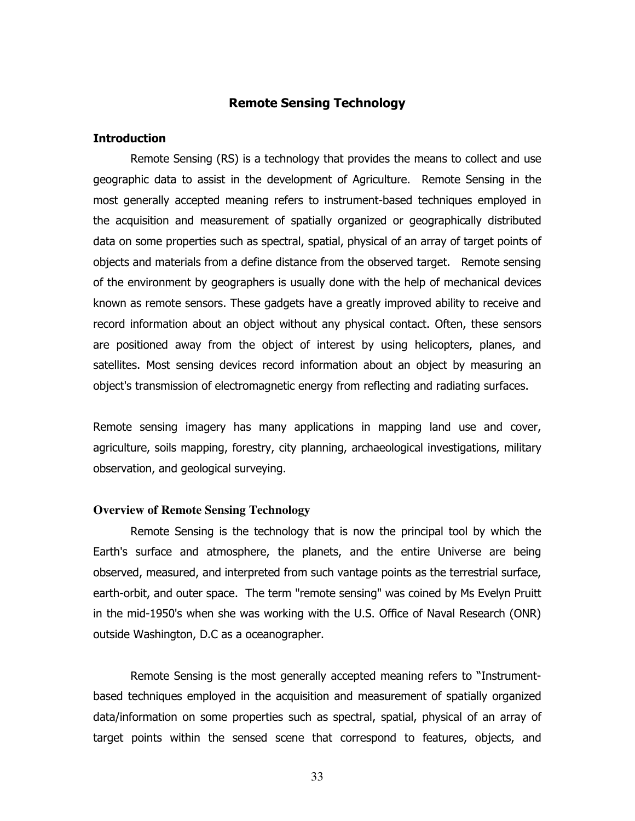# Remote Sensing Technology

# **Introduction**

 Remote Sensing (RS) is a technology that provides the means to collect and use geographic data to assist in the development of Agriculture. Remote Sensing in the most generally accepted meaning refers to instrument-based techniques employed in the acquisition and measurement of spatially organized or geographically distributed data on some properties such as spectral, spatial, physical of an array of target points of objects and materials from a define distance from the observed target. Remote sensing of the environment by geographers is usually done with the help of mechanical devices known as remote sensors. These gadgets have a greatly improved ability to receive and record information about an object without any physical contact. Often, these sensors are positioned away from the object of interest by using helicopters, planes, and satellites. Most sensing devices record information about an object by measuring an object's transmission of electromagnetic energy from reflecting and radiating surfaces.

Remote sensing imagery has many applications in mapping land use and cover, agriculture, soils mapping, forestry, city planning, archaeological investigations, military observation, and geological surveying.

### **Overview of Remote Sensing Technology**

Remote Sensing is the technology that is now the principal tool by which the Earth's surface and atmosphere, the planets, and the entire Universe are being observed, measured, and interpreted from such vantage points as the terrestrial surface, earth-orbit, and outer space. The term "remote sensing" was coined by Ms Evelyn Pruitt in the mid-1950's when she was working with the U.S. Office of Naval Research (ONR) outside Washington, D.C as a oceanographer.

Remote Sensing is the most generally accepted meaning refers to "Instrumentbased techniques employed in the acquisition and measurement of spatially organized data/information on some properties such as spectral, spatial, physical of an array of target points within the sensed scene that correspond to features, objects, and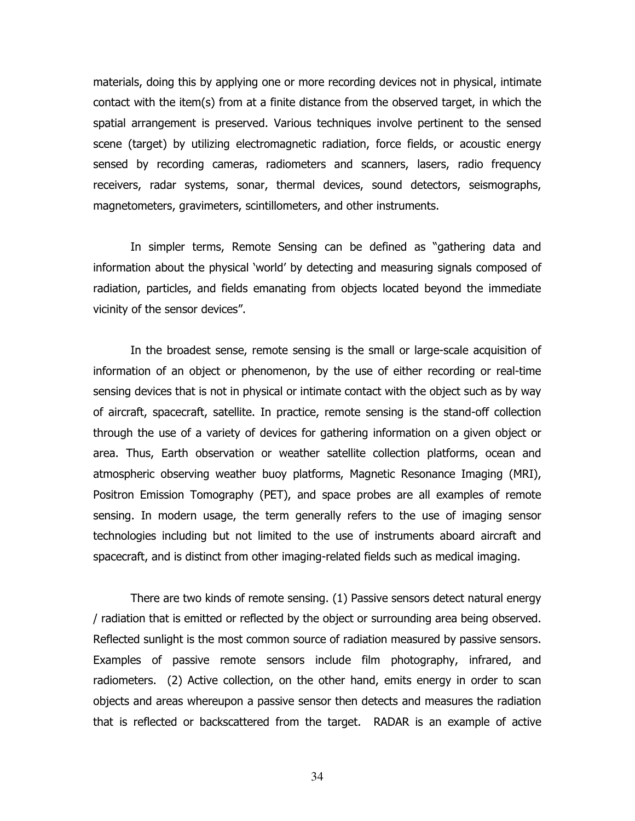materials, doing this by applying one or more recording devices not in physical, intimate contact with the item(s) from at a finite distance from the observed target, in which the spatial arrangement is preserved. Various techniques involve pertinent to the sensed scene (target) by utilizing electromagnetic radiation, force fields, or acoustic energy sensed by recording cameras, radiometers and scanners, lasers, radio frequency receivers, radar systems, sonar, thermal devices, sound detectors, seismographs, magnetometers, gravimeters, scintillometers, and other instruments.

In simpler terms, Remote Sensing can be defined as "gathering data and information about the physical 'world' by detecting and measuring signals composed of radiation, particles, and fields emanating from objects located beyond the immediate vicinity of the sensor devices".

In the broadest sense, remote sensing is the small or large-scale acquisition of information of an object or phenomenon, by the use of either recording or real-time sensing devices that is not in physical or intimate contact with the object such as by way of aircraft, spacecraft, satellite. In practice, remote sensing is the stand-off collection through the use of a variety of devices for gathering information on a given object or area. Thus, Earth observation or weather satellite collection platforms, ocean and atmospheric observing weather buoy platforms, Magnetic Resonance Imaging (MRI), Positron Emission Tomography (PET), and space probes are all examples of remote sensing. In modern usage, the term generally refers to the use of imaging sensor technologies including but not limited to the use of instruments aboard aircraft and spacecraft, and is distinct from other imaging-related fields such as medical imaging.

There are two kinds of remote sensing. (1) Passive sensors detect natural energy / radiation that is emitted or reflected by the object or surrounding area being observed. Reflected sunlight is the most common source of radiation measured by passive sensors. Examples of passive remote sensors include film photography, infrared, and radiometers. (2) Active collection, on the other hand, emits energy in order to scan objects and areas whereupon a passive sensor then detects and measures the radiation that is reflected or backscattered from the target. RADAR is an example of active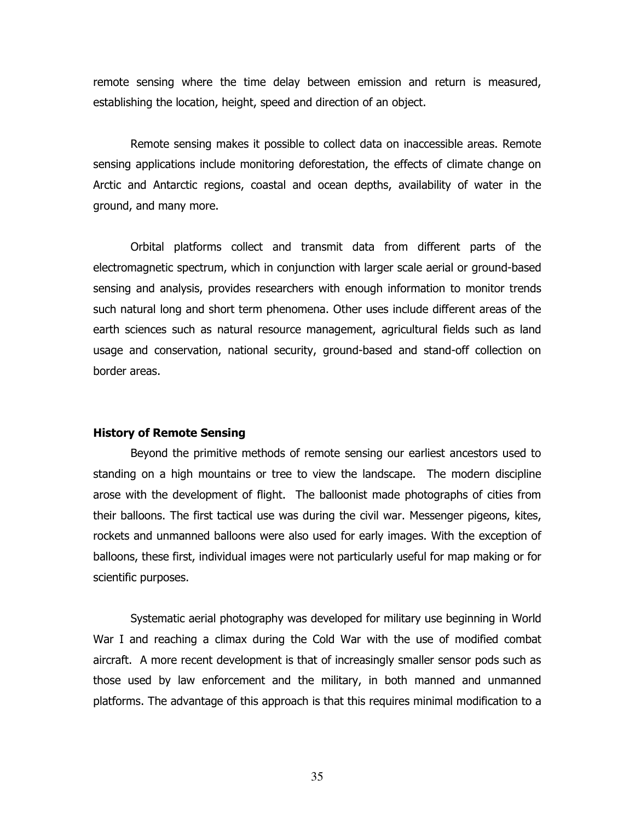remote sensing where the time delay between emission and return is measured, establishing the location, height, speed and direction of an object.

Remote sensing makes it possible to collect data on inaccessible areas. Remote sensing applications include monitoring deforestation, the effects of climate change on Arctic and Antarctic regions, coastal and ocean depths, availability of water in the ground, and many more.

Orbital platforms collect and transmit data from different parts of the electromagnetic spectrum, which in conjunction with larger scale aerial or ground-based sensing and analysis, provides researchers with enough information to monitor trends such natural long and short term phenomena. Other uses include different areas of the earth sciences such as natural resource management, agricultural fields such as land usage and conservation, national security, ground-based and stand-off collection on border areas.

### History of Remote Sensing

Beyond the primitive methods of remote sensing our earliest ancestors used to standing on a high mountains or tree to view the landscape. The modern discipline arose with the development of flight. The balloonist made photographs of cities from their balloons. The first tactical use was during the civil war. Messenger pigeons, kites, rockets and unmanned balloons were also used for early images. With the exception of balloons, these first, individual images were not particularly useful for map making or for scientific purposes.

Systematic aerial photography was developed for military use beginning in World War I and reaching a climax during the Cold War with the use of modified combat aircraft. A more recent development is that of increasingly smaller sensor pods such as those used by law enforcement and the military, in both manned and unmanned platforms. The advantage of this approach is that this requires minimal modification to a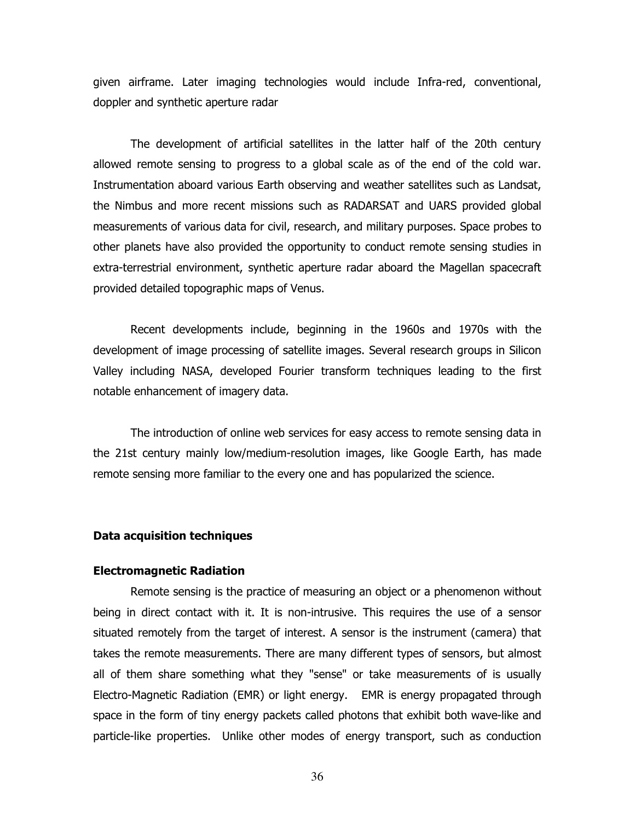given airframe. Later imaging technologies would include Infra-red, conventional, doppler and synthetic aperture radar

The development of artificial satellites in the latter half of the 20th century allowed remote sensing to progress to a global scale as of the end of the cold war. Instrumentation aboard various Earth observing and weather satellites such as Landsat, the Nimbus and more recent missions such as RADARSAT and UARS provided global measurements of various data for civil, research, and military purposes. Space probes to other planets have also provided the opportunity to conduct remote sensing studies in extra-terrestrial environment, synthetic aperture radar aboard the Magellan spacecraft provided detailed topographic maps of Venus.

Recent developments include, beginning in the 1960s and 1970s with the development of image processing of satellite images. Several research groups in Silicon Valley including NASA, developed Fourier transform techniques leading to the first notable enhancement of imagery data.

The introduction of online web services for easy access to remote sensing data in the 21st century mainly low/medium-resolution images, like Google Earth, has made remote sensing more familiar to the every one and has popularized the science.

### Data acquisition techniques

#### Electromagnetic Radiation

Remote sensing is the practice of measuring an object or a phenomenon without being in direct contact with it. It is non-intrusive. This requires the use of a sensor situated remotely from the target of interest. A sensor is the instrument (camera) that takes the remote measurements. There are many different types of sensors, but almost all of them share something what they "sense" or take measurements of is usually Electro-Magnetic Radiation (EMR) or light energy. EMR is energy propagated through space in the form of tiny energy packets called photons that exhibit both wave-like and particle-like properties. Unlike other modes of energy transport, such as conduction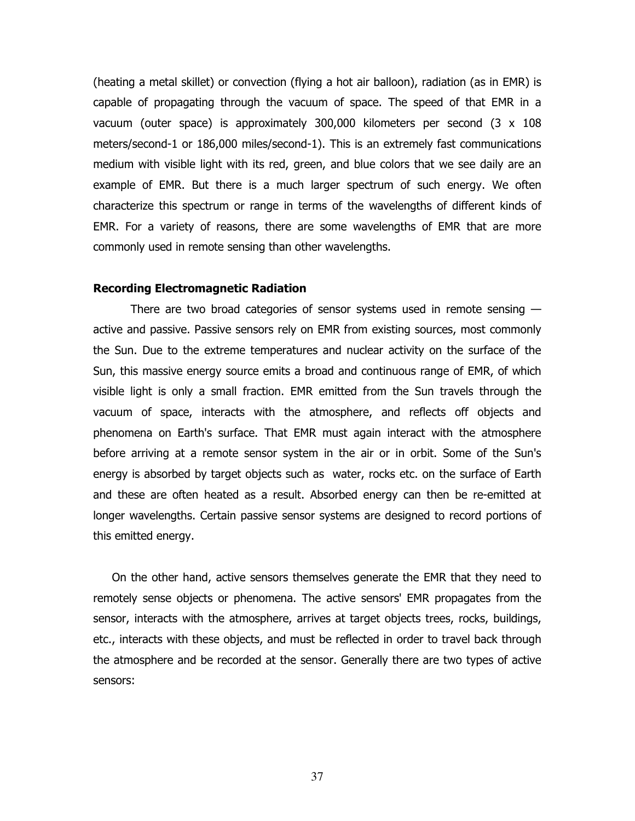(heating a metal skillet) or convection (flying a hot air balloon), radiation (as in EMR) is capable of propagating through the vacuum of space. The speed of that EMR in a vacuum (outer space) is approximately 300,000 kilometers per second (3 x 108 meters/second-1 or 186,000 miles/second-1). This is an extremely fast communications medium with visible light with its red, green, and blue colors that we see daily are an example of EMR. But there is a much larger spectrum of such energy. We often characterize this spectrum or range in terms of the wavelengths of different kinds of EMR. For a variety of reasons, there are some wavelengths of EMR that are more commonly used in remote sensing than other wavelengths.

## Recording Electromagnetic Radiation

There are two broad categories of sensor systems used in remote sensing active and passive. Passive sensors rely on EMR from existing sources, most commonly the Sun. Due to the extreme temperatures and nuclear activity on the surface of the Sun, this massive energy source emits a broad and continuous range of EMR, of which visible light is only a small fraction. EMR emitted from the Sun travels through the vacuum of space, interacts with the atmosphere, and reflects off objects and phenomena on Earth's surface. That EMR must again interact with the atmosphere before arriving at a remote sensor system in the air or in orbit. Some of the Sun's energy is absorbed by target objects such as water, rocks etc. on the surface of Earth and these are often heated as a result. Absorbed energy can then be re-emitted at longer wavelengths. Certain passive sensor systems are designed to record portions of this emitted energy.

On the other hand, active sensors themselves generate the EMR that they need to remotely sense objects or phenomena. The active sensors' EMR propagates from the sensor, interacts with the atmosphere, arrives at target objects trees, rocks, buildings, etc., interacts with these objects, and must be reflected in order to travel back through the atmosphere and be recorded at the sensor. Generally there are two types of active sensors: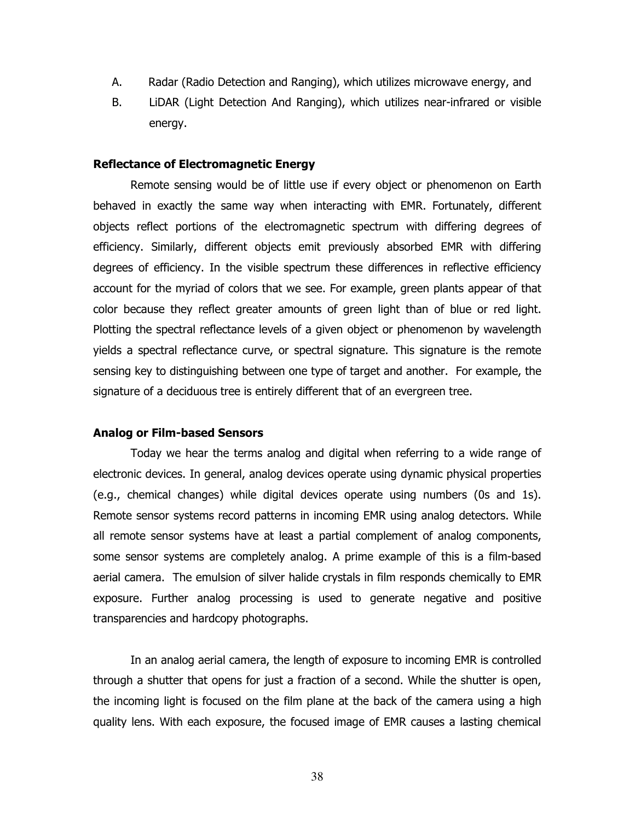- A. Radar (Radio Detection and Ranging), which utilizes microwave energy, and
- B. LiDAR (Light Detection And Ranging), which utilizes near-infrared or visible energy.

## Reflectance of Electromagnetic Energy

Remote sensing would be of little use if every object or phenomenon on Earth behaved in exactly the same way when interacting with EMR. Fortunately, different objects reflect portions of the electromagnetic spectrum with differing degrees of efficiency. Similarly, different objects emit previously absorbed EMR with differing degrees of efficiency. In the visible spectrum these differences in reflective efficiency account for the myriad of colors that we see. For example, green plants appear of that color because they reflect greater amounts of green light than of blue or red light. Plotting the spectral reflectance levels of a given object or phenomenon by wavelength yields a spectral reflectance curve, or spectral signature. This signature is the remote sensing key to distinguishing between one type of target and another. For example, the signature of a deciduous tree is entirely different that of an evergreen tree.

### Analog or Film-based Sensors

Today we hear the terms analog and digital when referring to a wide range of electronic devices. In general, analog devices operate using dynamic physical properties (e.g., chemical changes) while digital devices operate using numbers (0s and 1s). Remote sensor systems record patterns in incoming EMR using analog detectors. While all remote sensor systems have at least a partial complement of analog components, some sensor systems are completely analog. A prime example of this is a film-based aerial camera. The emulsion of silver halide crystals in film responds chemically to EMR exposure. Further analog processing is used to generate negative and positive transparencies and hardcopy photographs.

In an analog aerial camera, the length of exposure to incoming EMR is controlled through a shutter that opens for just a fraction of a second. While the shutter is open, the incoming light is focused on the film plane at the back of the camera using a high quality lens. With each exposure, the focused image of EMR causes a lasting chemical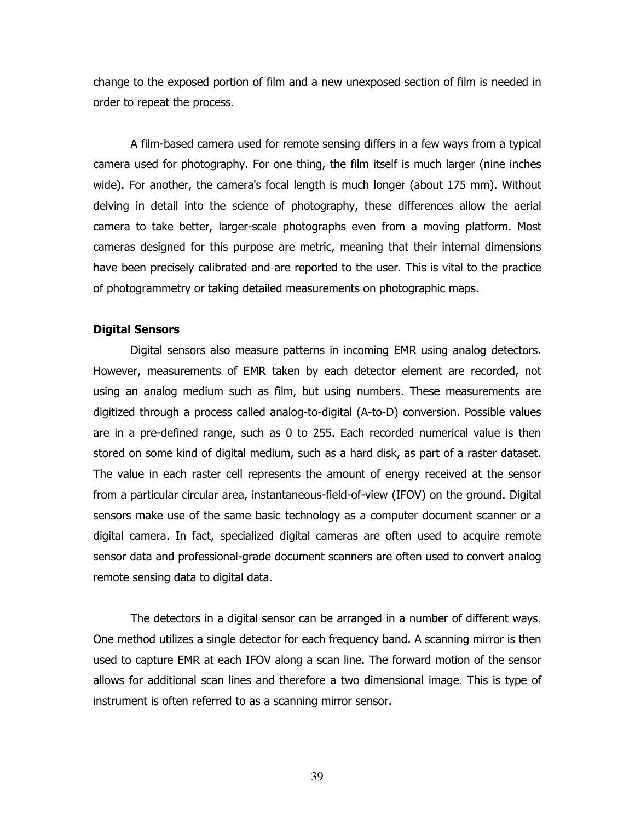change to the exposed portion of film and a new unexposed section of film is needed in order to repeat the process.

A film-based camera used for remote sensing differs in a few ways from a typical camera used for photography. For one thing, the film itself is much larger (nine inches wide). For another, the camera's focal length is much longer (about 175 mm). Without delving in detail into the science of photography, these differences allow the aerial camera to take better, larger-scale photographs even from a moving platform. Most cameras designed for this purpose are metric, meaning that their internal dimensions have been precisely calibrated and are reported to the user. This is vital to the practice of photogrammetry or taking detailed measurements on photographic maps.

#### Digital Sensors

Digital sensors also measure patterns in incoming EMR using analog detectors. However, measurements of EMR taken by each detector element are recorded, not using an analog medium such as film, but using numbers. These measurements are digitized through a process called analog-to-digital (A-to-D) conversion. Possible values are in a pre-defined range, such as 0 to 255. Each recorded numerical value is then stored on some kind of digital medium, such as a hard disk, as part of a raster dataset. The value in each raster cell represents the amount of energy received at the sensor from a particular circular area, instantaneous-field-of-view (IFOV) on the ground. Digital sensors make use of the same basic technology as a computer document scanner or a digital camera. In fact, specialized digital cameras are often used to acquire remote sensor data and professional-grade document scanners are often used to convert analog remote sensing data to digital data.

The detectors in a digital sensor can be arranged in a number of different ways. One method utilizes a single detector for each frequency band. A scanning mirror is then used to capture EMR at each IFOV along a scan line. The forward motion of the sensor allows for additional scan lines and therefore a two dimensional image. This is type of instrument is often referred to as a scanning mirror sensor.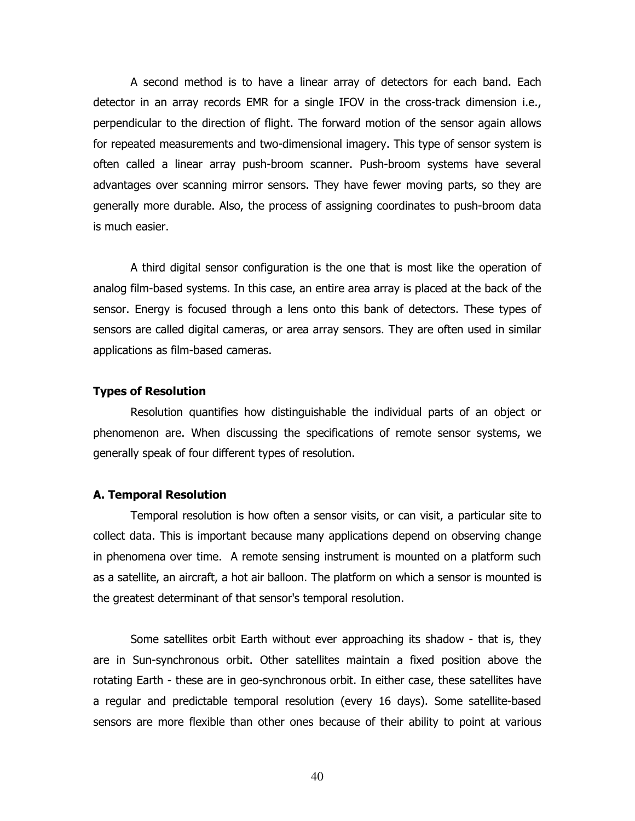A second method is to have a linear array of detectors for each band. Each detector in an array records EMR for a single IFOV in the cross-track dimension i.e., perpendicular to the direction of flight. The forward motion of the sensor again allows for repeated measurements and two-dimensional imagery. This type of sensor system is often called a linear array push-broom scanner. Push-broom systems have several advantages over scanning mirror sensors. They have fewer moving parts, so they are generally more durable. Also, the process of assigning coordinates to push-broom data is much easier.

A third digital sensor configuration is the one that is most like the operation of analog film-based systems. In this case, an entire area array is placed at the back of the sensor. Energy is focused through a lens onto this bank of detectors. These types of sensors are called digital cameras, or area array sensors. They are often used in similar applications as film-based cameras.

#### Types of Resolution

Resolution quantifies how distinguishable the individual parts of an object or phenomenon are. When discussing the specifications of remote sensor systems, we generally speak of four different types of resolution.

### A. Temporal Resolution

Temporal resolution is how often a sensor visits, or can visit, a particular site to collect data. This is important because many applications depend on observing change in phenomena over time. A remote sensing instrument is mounted on a platform such as a satellite, an aircraft, a hot air balloon. The platform on which a sensor is mounted is the greatest determinant of that sensor's temporal resolution.

Some satellites orbit Earth without ever approaching its shadow - that is, they are in Sun-synchronous orbit. Other satellites maintain a fixed position above the rotating Earth - these are in geo-synchronous orbit. In either case, these satellites have a regular and predictable temporal resolution (every 16 days). Some satellite-based sensors are more flexible than other ones because of their ability to point at various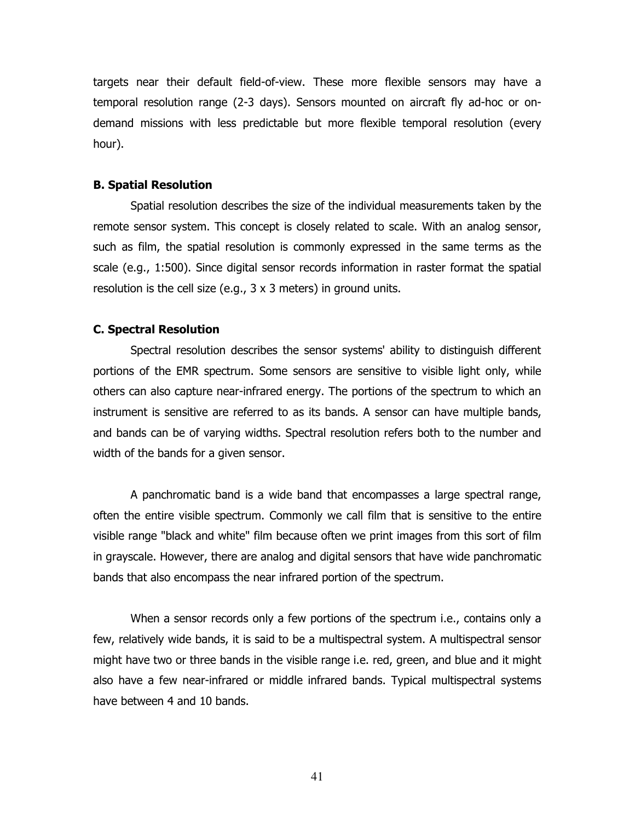targets near their default field-of-view. These more flexible sensors may have a temporal resolution range (2-3 days). Sensors mounted on aircraft fly ad-hoc or ondemand missions with less predictable but more flexible temporal resolution (every hour).

### B. Spatial Resolution

Spatial resolution describes the size of the individual measurements taken by the remote sensor system. This concept is closely related to scale. With an analog sensor, such as film, the spatial resolution is commonly expressed in the same terms as the scale (e.g., 1:500). Since digital sensor records information in raster format the spatial resolution is the cell size (e.g., 3 x 3 meters) in ground units.

### C. Spectral Resolution

Spectral resolution describes the sensor systems' ability to distinguish different portions of the EMR spectrum. Some sensors are sensitive to visible light only, while others can also capture near-infrared energy. The portions of the spectrum to which an instrument is sensitive are referred to as its bands. A sensor can have multiple bands, and bands can be of varying widths. Spectral resolution refers both to the number and width of the bands for a given sensor.

A panchromatic band is a wide band that encompasses a large spectral range, often the entire visible spectrum. Commonly we call film that is sensitive to the entire visible range "black and white" film because often we print images from this sort of film in grayscale. However, there are analog and digital sensors that have wide panchromatic bands that also encompass the near infrared portion of the spectrum.

When a sensor records only a few portions of the spectrum i.e., contains only a few, relatively wide bands, it is said to be a multispectral system. A multispectral sensor might have two or three bands in the visible range i.e. red, green, and blue and it might also have a few near-infrared or middle infrared bands. Typical multispectral systems have between 4 and 10 bands.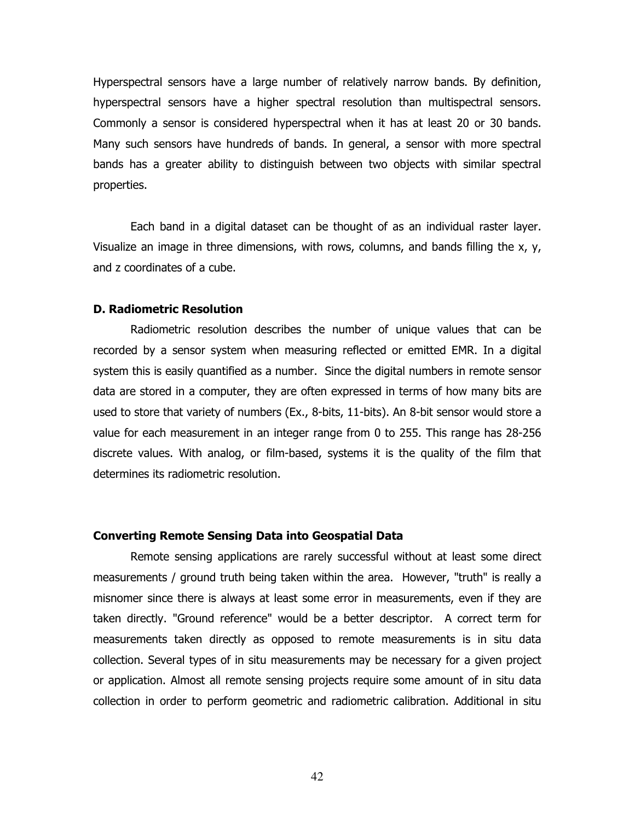Hyperspectral sensors have a large number of relatively narrow bands. By definition, hyperspectral sensors have a higher spectral resolution than multispectral sensors. Commonly a sensor is considered hyperspectral when it has at least 20 or 30 bands. Many such sensors have hundreds of bands. In general, a sensor with more spectral bands has a greater ability to distinguish between two objects with similar spectral properties.

Each band in a digital dataset can be thought of as an individual raster layer. Visualize an image in three dimensions, with rows, columns, and bands filling the  $x$ ,  $y$ , and z coordinates of a cube.

#### D. Radiometric Resolution

Radiometric resolution describes the number of unique values that can be recorded by a sensor system when measuring reflected or emitted EMR. In a digital system this is easily quantified as a number. Since the digital numbers in remote sensor data are stored in a computer, they are often expressed in terms of how many bits are used to store that variety of numbers (Ex., 8-bits, 11-bits). An 8-bit sensor would store a value for each measurement in an integer range from 0 to 255. This range has 28-256 discrete values. With analog, or film-based, systems it is the quality of the film that determines its radiometric resolution.

### Converting Remote Sensing Data into Geospatial Data

Remote sensing applications are rarely successful without at least some direct measurements / ground truth being taken within the area. However, "truth" is really a misnomer since there is always at least some error in measurements, even if they are taken directly. "Ground reference" would be a better descriptor. A correct term for measurements taken directly as opposed to remote measurements is in situ data collection. Several types of in situ measurements may be necessary for a given project or application. Almost all remote sensing projects require some amount of in situ data collection in order to perform geometric and radiometric calibration. Additional in situ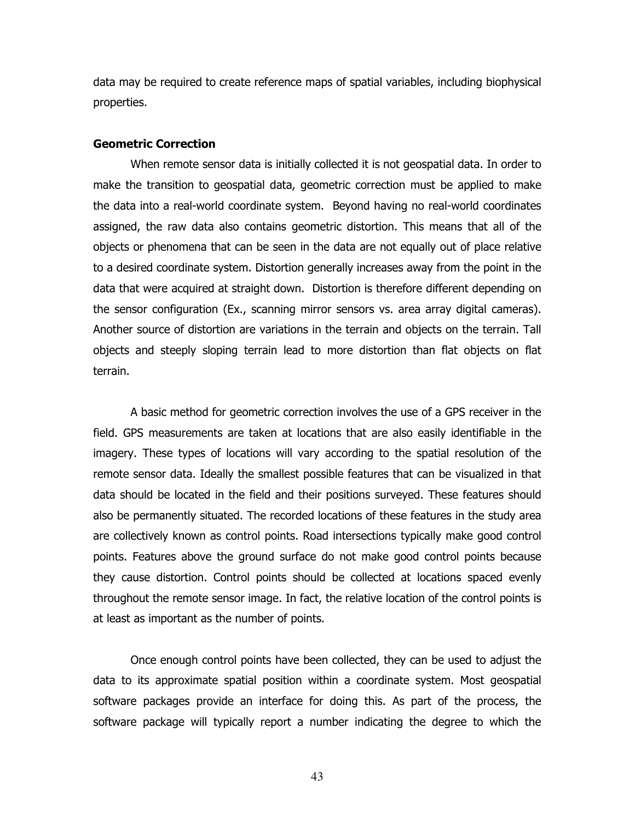data may be required to create reference maps of spatial variables, including biophysical properties.

# Geometric Correction

When remote sensor data is initially collected it is not geospatial data. In order to make the transition to geospatial data, geometric correction must be applied to make the data into a real-world coordinate system. Beyond having no real-world coordinates assigned, the raw data also contains geometric distortion. This means that all of the objects or phenomena that can be seen in the data are not equally out of place relative to a desired coordinate system. Distortion generally increases away from the point in the data that were acquired at straight down. Distortion is therefore different depending on the sensor configuration (Ex., scanning mirror sensors vs. area array digital cameras). Another source of distortion are variations in the terrain and objects on the terrain. Tall objects and steeply sloping terrain lead to more distortion than flat objects on flat terrain.

A basic method for geometric correction involves the use of a GPS receiver in the field. GPS measurements are taken at locations that are also easily identifiable in the imagery. These types of locations will vary according to the spatial resolution of the remote sensor data. Ideally the smallest possible features that can be visualized in that data should be located in the field and their positions surveyed. These features should also be permanently situated. The recorded locations of these features in the study area are collectively known as control points. Road intersections typically make good control points. Features above the ground surface do not make good control points because they cause distortion. Control points should be collected at locations spaced evenly throughout the remote sensor image. In fact, the relative location of the control points is at least as important as the number of points.

Once enough control points have been collected, they can be used to adjust the data to its approximate spatial position within a coordinate system. Most geospatial software packages provide an interface for doing this. As part of the process, the software package will typically report a number indicating the degree to which the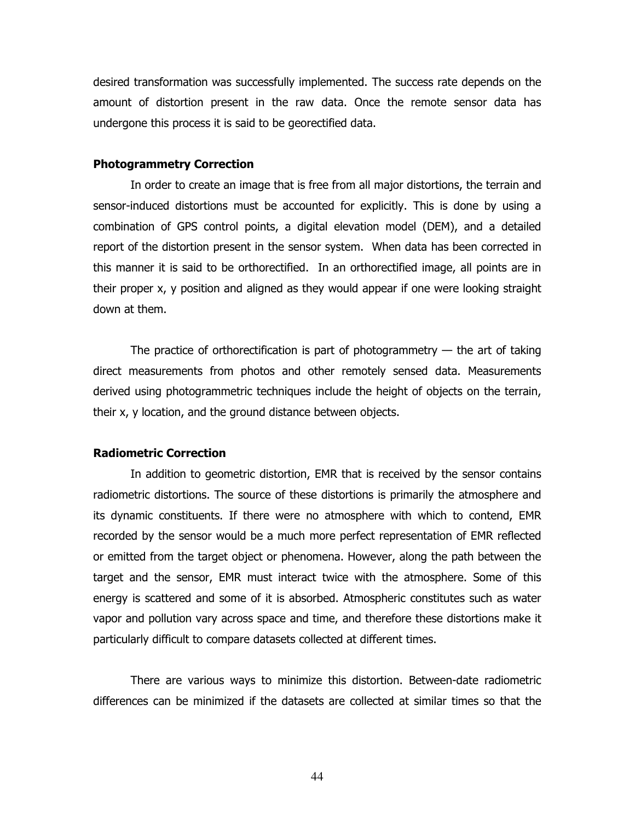desired transformation was successfully implemented. The success rate depends on the amount of distortion present in the raw data. Once the remote sensor data has undergone this process it is said to be georectified data.

### Photogrammetry Correction

In order to create an image that is free from all major distortions, the terrain and sensor-induced distortions must be accounted for explicitly. This is done by using a combination of GPS control points, a digital elevation model (DEM), and a detailed report of the distortion present in the sensor system. When data has been corrected in this manner it is said to be orthorectified. In an orthorectified image, all points are in their proper x, y position and aligned as they would appear if one were looking straight down at them.

The practice of orthorectification is part of photogrammetry  $-$  the art of taking direct measurements from photos and other remotely sensed data. Measurements derived using photogrammetric techniques include the height of objects on the terrain, their x, y location, and the ground distance between objects.

#### Radiometric Correction

In addition to geometric distortion, EMR that is received by the sensor contains radiometric distortions. The source of these distortions is primarily the atmosphere and its dynamic constituents. If there were no atmosphere with which to contend, EMR recorded by the sensor would be a much more perfect representation of EMR reflected or emitted from the target object or phenomena. However, along the path between the target and the sensor, EMR must interact twice with the atmosphere. Some of this energy is scattered and some of it is absorbed. Atmospheric constitutes such as water vapor and pollution vary across space and time, and therefore these distortions make it particularly difficult to compare datasets collected at different times.

There are various ways to minimize this distortion. Between-date radiometric differences can be minimized if the datasets are collected at similar times so that the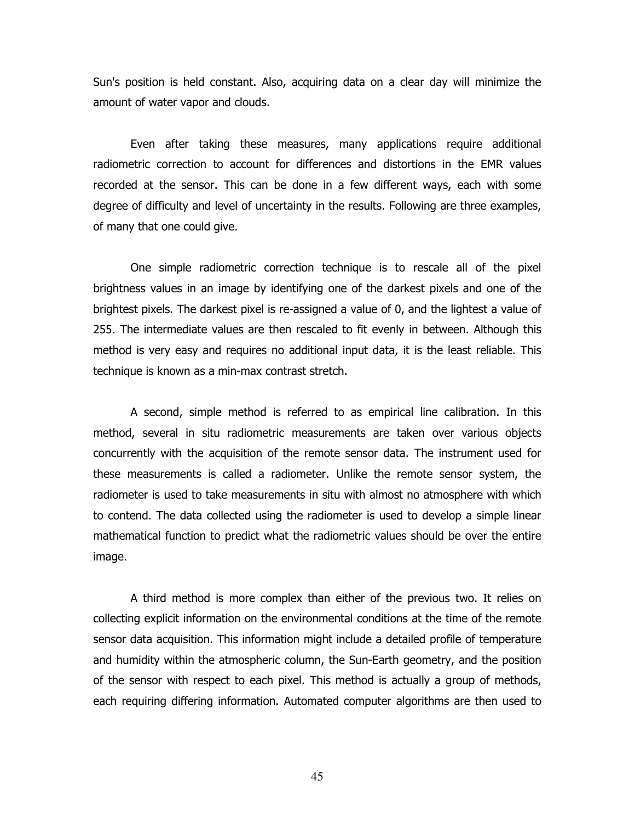Sun's position is held constant. Also, acquiring data on a clear day will minimize the amount of water vapor and clouds.

Even after taking these measures, many applications require additional radiometric correction to account for differences and distortions in the EMR values recorded at the sensor. This can be done in a few different ways, each with some degree of difficulty and level of uncertainty in the results. Following are three examples, of many that one could give.

One simple radiometric correction technique is to rescale all of the pixel brightness values in an image by identifying one of the darkest pixels and one of the brightest pixels. The darkest pixel is re-assigned a value of 0, and the lightest a value of 255. The intermediate values are then rescaled to fit evenly in between. Although this method is very easy and requires no additional input data, it is the least reliable. This technique is known as a min-max contrast stretch.

A second, simple method is referred to as empirical line calibration. In this method, several in situ radiometric measurements are taken over various objects concurrently with the acquisition of the remote sensor data. The instrument used for these measurements is called a radiometer. Unlike the remote sensor system, the radiometer is used to take measurements in situ with almost no atmosphere with which to contend. The data collected using the radiometer is used to develop a simple linear mathematical function to predict what the radiometric values should be over the entire image.

A third method is more complex than either of the previous two. It relies on collecting explicit information on the environmental conditions at the time of the remote sensor data acquisition. This information might include a detailed profile of temperature and humidity within the atmospheric column, the Sun-Earth geometry, and the position of the sensor with respect to each pixel. This method is actually a group of methods, each requiring differing information. Automated computer algorithms are then used to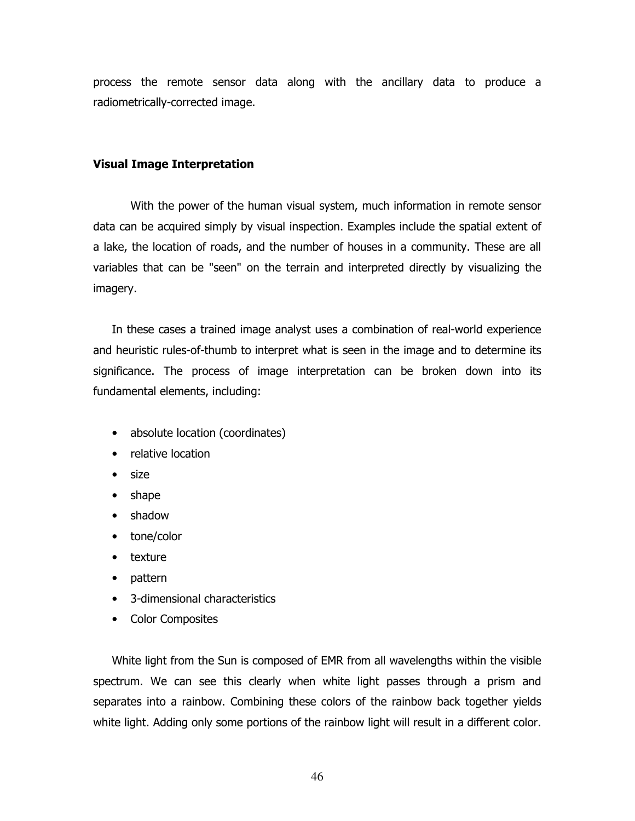process the remote sensor data along with the ancillary data to produce a radiometrically-corrected image.

## Visual Image Interpretation

With the power of the human visual system, much information in remote sensor data can be acquired simply by visual inspection. Examples include the spatial extent of a lake, the location of roads, and the number of houses in a community. These are all variables that can be "seen" on the terrain and interpreted directly by visualizing the imagery.

In these cases a trained image analyst uses a combination of real-world experience and heuristic rules-of-thumb to interpret what is seen in the image and to determine its significance. The process of image interpretation can be broken down into its fundamental elements, including:

- absolute location (coordinates)
- relative location
- size
- shape
- shadow
- tone/color
- texture
- pattern
- 3-dimensional characteristics
- Color Composites

White light from the Sun is composed of EMR from all wavelengths within the visible spectrum. We can see this clearly when white light passes through a prism and separates into a rainbow. Combining these colors of the rainbow back together yields white light. Adding only some portions of the rainbow light will result in a different color.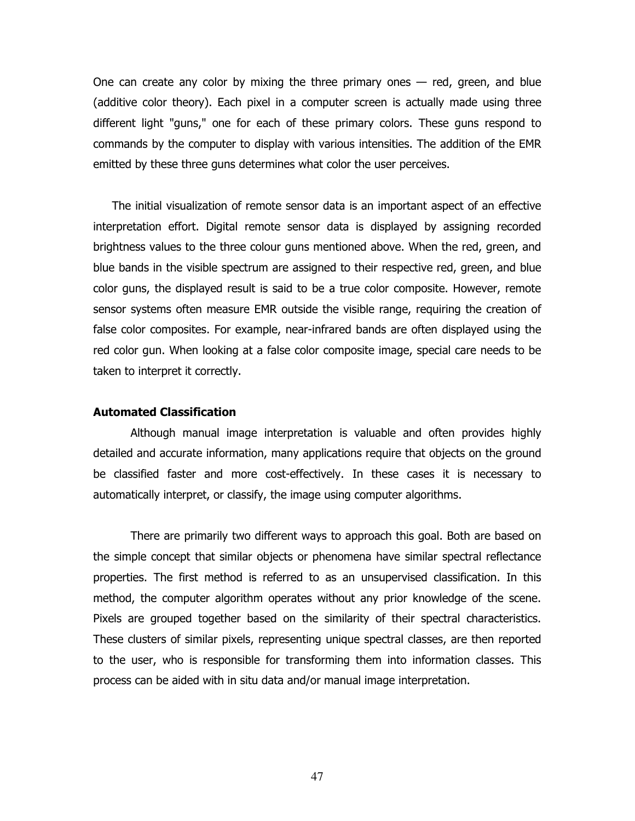One can create any color by mixing the three primary ones — red, green, and blue (additive color theory). Each pixel in a computer screen is actually made using three different light "guns," one for each of these primary colors. These guns respond to commands by the computer to display with various intensities. The addition of the EMR emitted by these three guns determines what color the user perceives.

The initial visualization of remote sensor data is an important aspect of an effective interpretation effort. Digital remote sensor data is displayed by assigning recorded brightness values to the three colour guns mentioned above. When the red, green, and blue bands in the visible spectrum are assigned to their respective red, green, and blue color guns, the displayed result is said to be a true color composite. However, remote sensor systems often measure EMR outside the visible range, requiring the creation of false color composites. For example, near-infrared bands are often displayed using the red color gun. When looking at a false color composite image, special care needs to be taken to interpret it correctly.

# Automated Classification

Although manual image interpretation is valuable and often provides highly detailed and accurate information, many applications require that objects on the ground be classified faster and more cost-effectively. In these cases it is necessary to automatically interpret, or classify, the image using computer algorithms.

There are primarily two different ways to approach this goal. Both are based on the simple concept that similar objects or phenomena have similar spectral reflectance properties. The first method is referred to as an unsupervised classification. In this method, the computer algorithm operates without any prior knowledge of the scene. Pixels are grouped together based on the similarity of their spectral characteristics. These clusters of similar pixels, representing unique spectral classes, are then reported to the user, who is responsible for transforming them into information classes. This process can be aided with in situ data and/or manual image interpretation.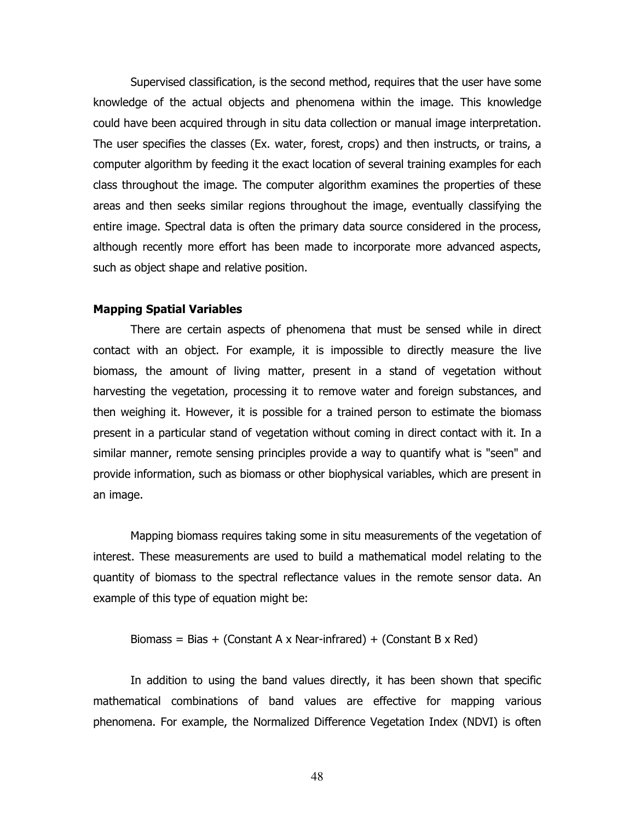Supervised classification, is the second method, requires that the user have some knowledge of the actual objects and phenomena within the image. This knowledge could have been acquired through in situ data collection or manual image interpretation. The user specifies the classes (Ex. water, forest, crops) and then instructs, or trains, a computer algorithm by feeding it the exact location of several training examples for each class throughout the image. The computer algorithm examines the properties of these areas and then seeks similar regions throughout the image, eventually classifying the entire image. Spectral data is often the primary data source considered in the process, although recently more effort has been made to incorporate more advanced aspects, such as object shape and relative position.

#### Mapping Spatial Variables

There are certain aspects of phenomena that must be sensed while in direct contact with an object. For example, it is impossible to directly measure the live biomass, the amount of living matter, present in a stand of vegetation without harvesting the vegetation, processing it to remove water and foreign substances, and then weighing it. However, it is possible for a trained person to estimate the biomass present in a particular stand of vegetation without coming in direct contact with it. In a similar manner, remote sensing principles provide a way to quantify what is "seen" and provide information, such as biomass or other biophysical variables, which are present in an image.

Mapping biomass requires taking some in situ measurements of the vegetation of interest. These measurements are used to build a mathematical model relating to the quantity of biomass to the spectral reflectance values in the remote sensor data. An example of this type of equation might be:

Biomass = Bias + (Constant A x Near-infrared) + (Constant B x Red)

In addition to using the band values directly, it has been shown that specific mathematical combinations of band values are effective for mapping various phenomena. For example, the Normalized Difference Vegetation Index (NDVI) is often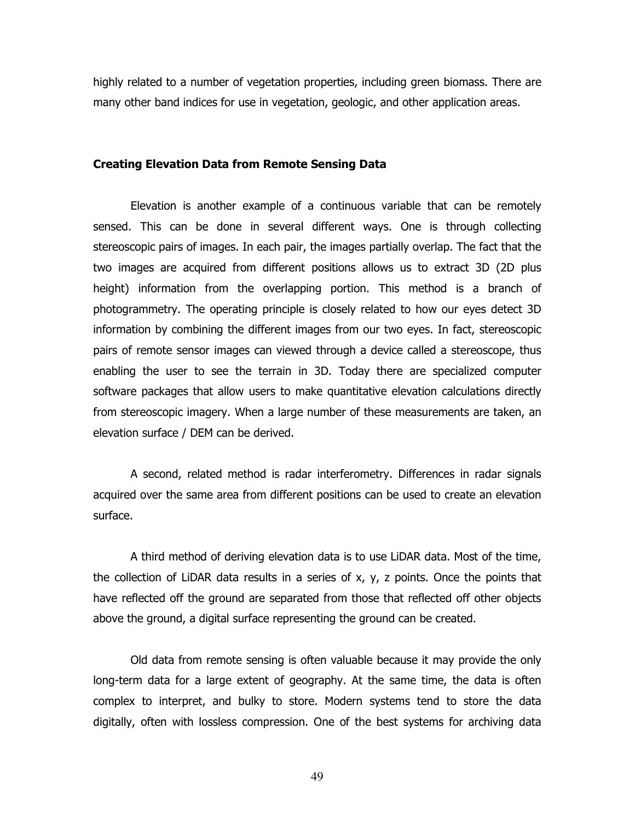highly related to a number of vegetation properties, including green biomass. There are many other band indices for use in vegetation, geologic, and other application areas.

#### Creating Elevation Data from Remote Sensing Data

Elevation is another example of a continuous variable that can be remotely sensed. This can be done in several different ways. One is through collecting stereoscopic pairs of images. In each pair, the images partially overlap. The fact that the two images are acquired from different positions allows us to extract 3D (2D plus height) information from the overlapping portion. This method is a branch of photogrammetry. The operating principle is closely related to how our eyes detect 3D information by combining the different images from our two eyes. In fact, stereoscopic pairs of remote sensor images can viewed through a device called a stereoscope, thus enabling the user to see the terrain in 3D. Today there are specialized computer software packages that allow users to make quantitative elevation calculations directly from stereoscopic imagery. When a large number of these measurements are taken, an elevation surface / DEM can be derived.

A second, related method is radar interferometry. Differences in radar signals acquired over the same area from different positions can be used to create an elevation surface.

A third method of deriving elevation data is to use LiDAR data. Most of the time, the collection of LiDAR data results in a series of x, y, z points. Once the points that have reflected off the ground are separated from those that reflected off other objects above the ground, a digital surface representing the ground can be created.

Old data from remote sensing is often valuable because it may provide the only long-term data for a large extent of geography. At the same time, the data is often complex to interpret, and bulky to store. Modern systems tend to store the data digitally, often with lossless compression. One of the best systems for archiving data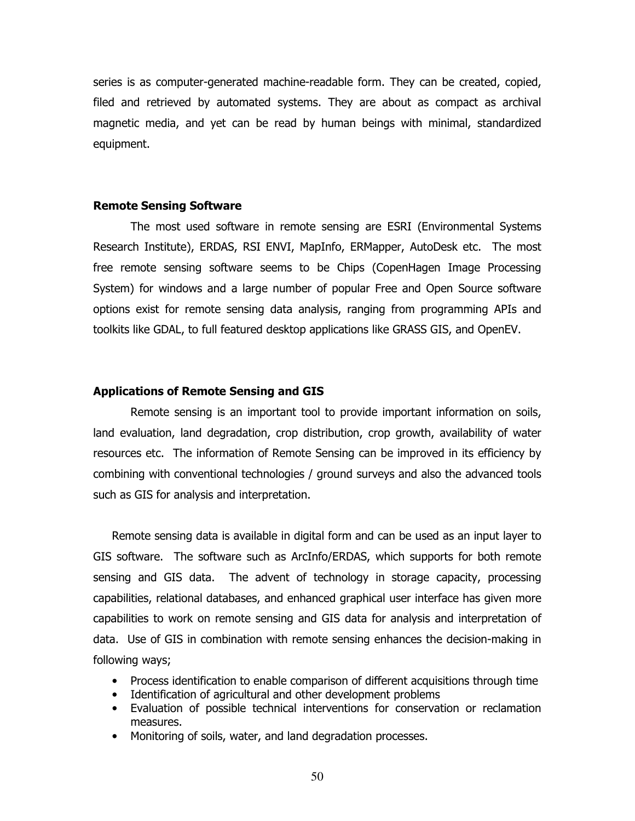series is as computer-generated machine-readable form. They can be created, copied, filed and retrieved by automated systems. They are about as compact as archival magnetic media, and yet can be read by human beings with minimal, standardized equipment.

# Remote Sensing Software

The most used software in remote sensing are ESRI (Environmental Systems Research Institute), ERDAS, RSI ENVI, MapInfo, ERMapper, AutoDesk etc. The most free remote sensing software seems to be Chips (CopenHagen Image Processing System) for windows and a large number of popular Free and Open Source software options exist for remote sensing data analysis, ranging from programming APIs and toolkits like GDAL, to full featured desktop applications like GRASS GIS, and OpenEV.

# Applications of Remote Sensing and GIS

Remote sensing is an important tool to provide important information on soils, land evaluation, land degradation, crop distribution, crop growth, availability of water resources etc. The information of Remote Sensing can be improved in its efficiency by combining with conventional technologies / ground surveys and also the advanced tools such as GIS for analysis and interpretation.

Remote sensing data is available in digital form and can be used as an input layer to GIS software. The software such as ArcInfo/ERDAS, which supports for both remote sensing and GIS data. The advent of technology in storage capacity, processing capabilities, relational databases, and enhanced graphical user interface has given more capabilities to work on remote sensing and GIS data for analysis and interpretation of data. Use of GIS in combination with remote sensing enhances the decision-making in following ways;

- Process identification to enable comparison of different acquisitions through time
- Identification of agricultural and other development problems
- Evaluation of possible technical interventions for conservation or reclamation measures.
- Monitoring of soils, water, and land degradation processes.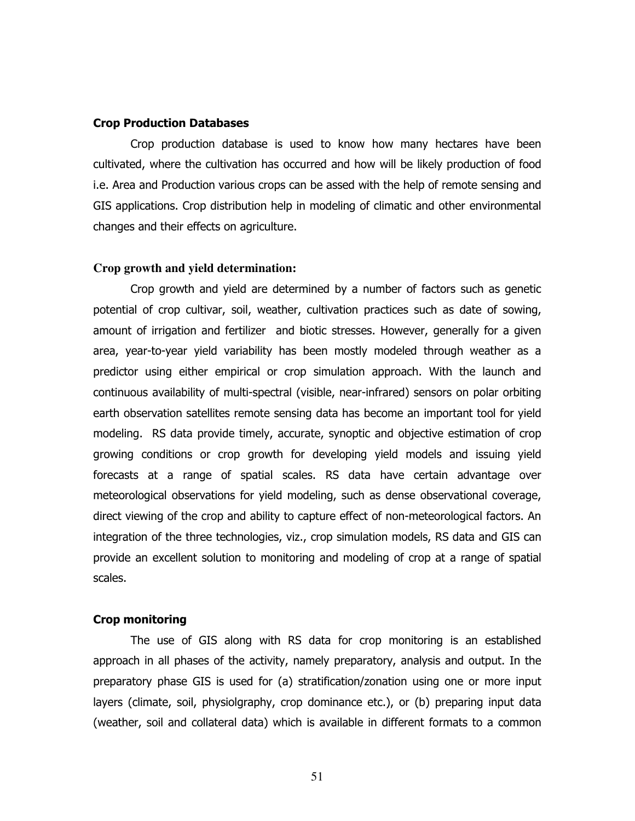#### Crop Production Databases

Crop production database is used to know how many hectares have been cultivated, where the cultivation has occurred and how will be likely production of food i.e. Area and Production various crops can be assed with the help of remote sensing and GIS applications. Crop distribution help in modeling of climatic and other environmental changes and their effects on agriculture.

### **Crop growth and yield determination:**

Crop growth and yield are determined by a number of factors such as genetic potential of crop cultivar, soil, weather, cultivation practices such as date of sowing, amount of irrigation and fertilizer and biotic stresses. However, generally for a given area, year-to-year yield variability has been mostly modeled through weather as a predictor using either empirical or crop simulation approach. With the launch and continuous availability of multi-spectral (visible, near-infrared) sensors on polar orbiting earth observation satellites remote sensing data has become an important tool for yield modeling. RS data provide timely, accurate, synoptic and objective estimation of crop growing conditions or crop growth for developing yield models and issuing yield forecasts at a range of spatial scales. RS data have certain advantage over meteorological observations for yield modeling, such as dense observational coverage, direct viewing of the crop and ability to capture effect of non-meteorological factors. An integration of the three technologies, viz., crop simulation models, RS data and GIS can provide an excellent solution to monitoring and modeling of crop at a range of spatial scales.

#### Crop monitoring

The use of GIS along with RS data for crop monitoring is an established approach in all phases of the activity, namely preparatory, analysis and output. In the preparatory phase GIS is used for (a) stratification/zonation using one or more input layers (climate, soil, physiolgraphy, crop dominance etc.), or (b) preparing input data (weather, soil and collateral data) which is available in different formats to a common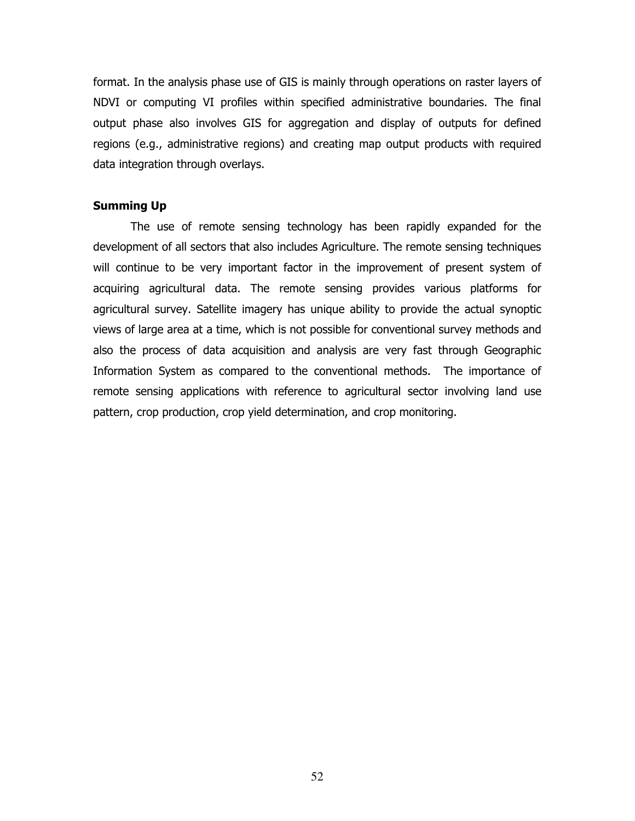format. In the analysis phase use of GIS is mainly through operations on raster layers of NDVI or computing VI profiles within specified administrative boundaries. The final output phase also involves GIS for aggregation and display of outputs for defined regions (e.g., administrative regions) and creating map output products with required data integration through overlays.

# Summing Up

The use of remote sensing technology has been rapidly expanded for the development of all sectors that also includes Agriculture. The remote sensing techniques will continue to be very important factor in the improvement of present system of acquiring agricultural data. The remote sensing provides various platforms for agricultural survey. Satellite imagery has unique ability to provide the actual synoptic views of large area at a time, which is not possible for conventional survey methods and also the process of data acquisition and analysis are very fast through Geographic Information System as compared to the conventional methods. The importance of remote sensing applications with reference to agricultural sector involving land use pattern, crop production, crop yield determination, and crop monitoring.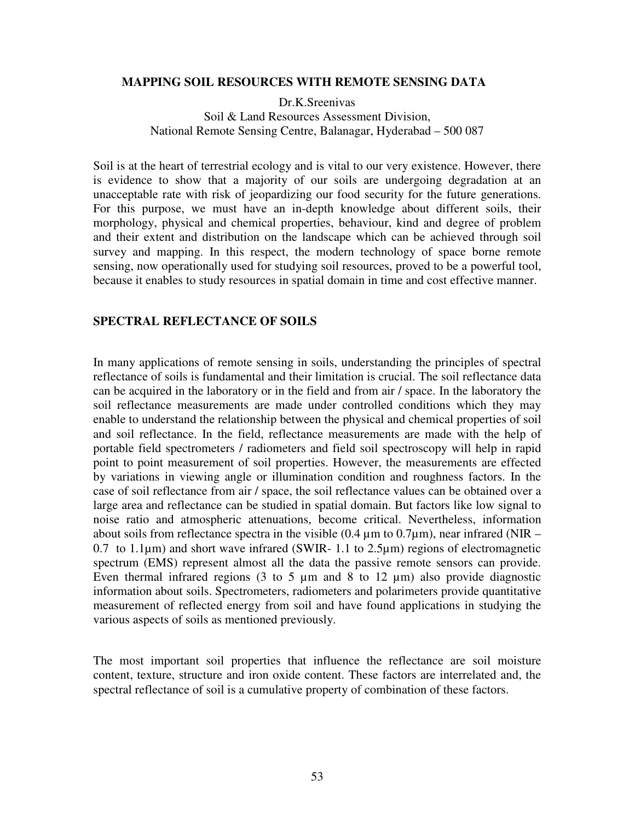## **MAPPING SOIL RESOURCES WITH REMOTE SENSING DATA**

# Dr.K.Sreenivas Soil & Land Resources Assessment Division, National Remote Sensing Centre, Balanagar, Hyderabad – 500 087

Soil is at the heart of terrestrial ecology and is vital to our very existence. However, there is evidence to show that a majority of our soils are undergoing degradation at an unacceptable rate with risk of jeopardizing our food security for the future generations. For this purpose, we must have an in-depth knowledge about different soils, their morphology, physical and chemical properties, behaviour, kind and degree of problem and their extent and distribution on the landscape which can be achieved through soil survey and mapping. In this respect, the modern technology of space borne remote sensing, now operationally used for studying soil resources, proved to be a powerful tool, because it enables to study resources in spatial domain in time and cost effective manner.

# **SPECTRAL REFLECTANCE OF SOILS**

In many applications of remote sensing in soils, understanding the principles of spectral reflectance of soils is fundamental and their limitation is crucial. The soil reflectance data can be acquired in the laboratory or in the field and from air / space. In the laboratory the soil reflectance measurements are made under controlled conditions which they may enable to understand the relationship between the physical and chemical properties of soil and soil reflectance. In the field, reflectance measurements are made with the help of portable field spectrometers / radiometers and field soil spectroscopy will help in rapid point to point measurement of soil properties. However, the measurements are effected by variations in viewing angle or illumination condition and roughness factors. In the case of soil reflectance from air / space, the soil reflectance values can be obtained over a large area and reflectance can be studied in spatial domain. But factors like low signal to noise ratio and atmospheric attenuations, become critical. Nevertheless, information about soils from reflectance spectra in the visible  $(0.4 \mu m)$  to  $0.7 \mu m$ , near infrared (NIR – 0.7 to 1.1µm) and short wave infrared (SWIR- 1.1 to 2.5µm) regions of electromagnetic spectrum (EMS) represent almost all the data the passive remote sensors can provide. Even thermal infrared regions  $(3 \text{ to } 5 \text{ µm})$  and  $(8 \text{ to } 12 \text{ µm})$  also provide diagnostic information about soils. Spectrometers, radiometers and polarimeters provide quantitative measurement of reflected energy from soil and have found applications in studying the various aspects of soils as mentioned previously.

The most important soil properties that influence the reflectance are soil moisture content, texture, structure and iron oxide content. These factors are interrelated and, the spectral reflectance of soil is a cumulative property of combination of these factors.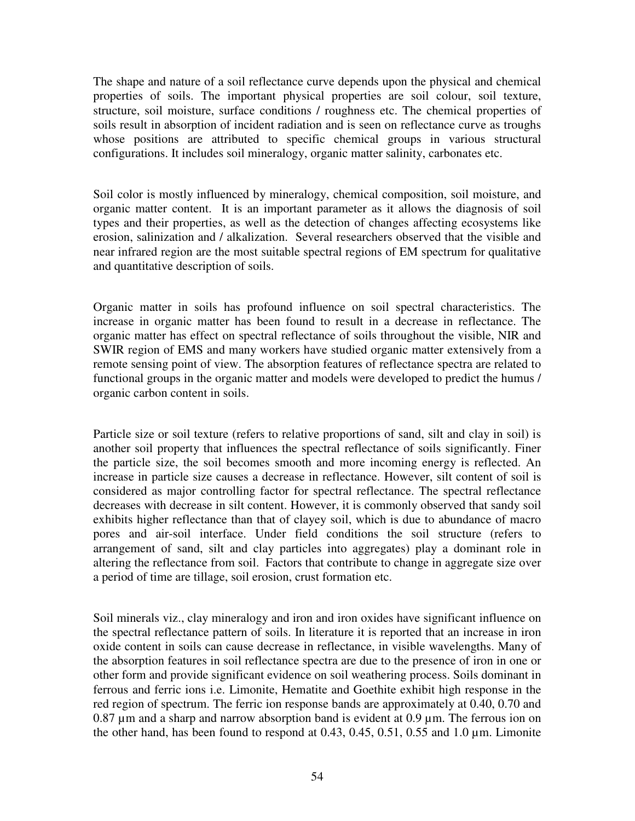The shape and nature of a soil reflectance curve depends upon the physical and chemical properties of soils. The important physical properties are soil colour, soil texture, structure, soil moisture, surface conditions / roughness etc. The chemical properties of soils result in absorption of incident radiation and is seen on reflectance curve as troughs whose positions are attributed to specific chemical groups in various structural configurations. It includes soil mineralogy, organic matter salinity, carbonates etc.

Soil color is mostly influenced by mineralogy, chemical composition, soil moisture, and organic matter content. It is an important parameter as it allows the diagnosis of soil types and their properties, as well as the detection of changes affecting ecosystems like erosion, salinization and / alkalization. Several researchers observed that the visible and near infrared region are the most suitable spectral regions of EM spectrum for qualitative and quantitative description of soils.

Organic matter in soils has profound influence on soil spectral characteristics. The increase in organic matter has been found to result in a decrease in reflectance. The organic matter has effect on spectral reflectance of soils throughout the visible, NIR and SWIR region of EMS and many workers have studied organic matter extensively from a remote sensing point of view. The absorption features of reflectance spectra are related to functional groups in the organic matter and models were developed to predict the humus / organic carbon content in soils.

Particle size or soil texture (refers to relative proportions of sand, silt and clay in soil) is another soil property that influences the spectral reflectance of soils significantly. Finer the particle size, the soil becomes smooth and more incoming energy is reflected. An increase in particle size causes a decrease in reflectance. However, silt content of soil is considered as major controlling factor for spectral reflectance. The spectral reflectance decreases with decrease in silt content. However, it is commonly observed that sandy soil exhibits higher reflectance than that of clayey soil, which is due to abundance of macro pores and air-soil interface. Under field conditions the soil structure (refers to arrangement of sand, silt and clay particles into aggregates) play a dominant role in altering the reflectance from soil. Factors that contribute to change in aggregate size over a period of time are tillage, soil erosion, crust formation etc.

Soil minerals viz., clay mineralogy and iron and iron oxides have significant influence on the spectral reflectance pattern of soils. In literature it is reported that an increase in iron oxide content in soils can cause decrease in reflectance, in visible wavelengths. Many of the absorption features in soil reflectance spectra are due to the presence of iron in one or other form and provide significant evidence on soil weathering process. Soils dominant in ferrous and ferric ions i.e. Limonite, Hematite and Goethite exhibit high response in the red region of spectrum. The ferric ion response bands are approximately at 0.40, 0.70 and  $0.87 \mu$ m and a sharp and narrow absorption band is evident at  $0.9 \mu$ m. The ferrous ion on the other hand, has been found to respond at 0.43, 0.45, 0.51, 0.55 and 1.0 µm. Limonite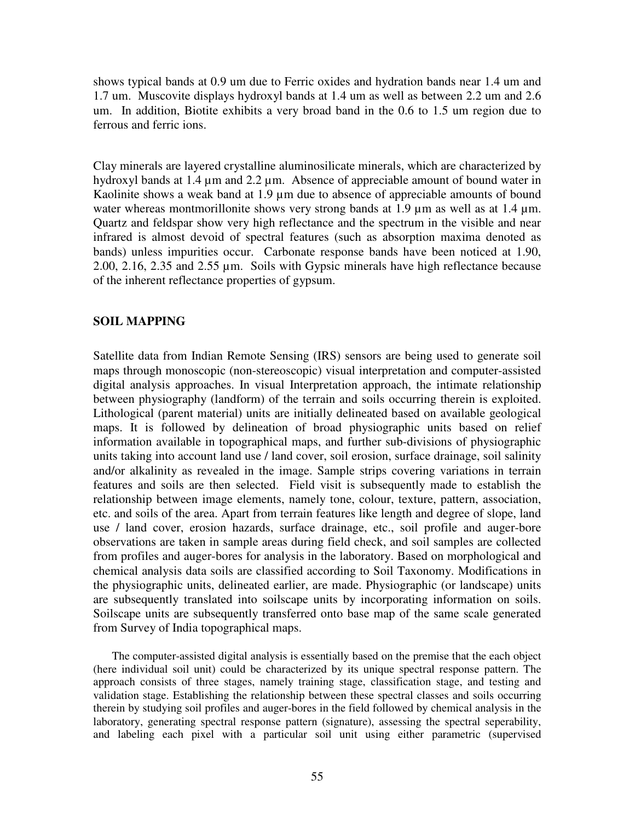shows typical bands at 0.9 um due to Ferric oxides and hydration bands near 1.4 um and 1.7 um. Muscovite displays hydroxyl bands at 1.4 um as well as between 2.2 um and 2.6 um. In addition, Biotite exhibits a very broad band in the 0.6 to 1.5 um region due to ferrous and ferric ions.

Clay minerals are layered crystalline aluminosilicate minerals, which are characterized by hydroxyl bands at 1.4 µm and 2.2 µm. Absence of appreciable amount of bound water in Kaolinite shows a weak band at 1.9  $\mu$ m due to absence of appreciable amounts of bound water whereas montmorillonite shows very strong bands at 1.9  $\mu$ m as well as at 1.4  $\mu$ m. Quartz and feldspar show very high reflectance and the spectrum in the visible and near infrared is almost devoid of spectral features (such as absorption maxima denoted as bands) unless impurities occur. Carbonate response bands have been noticed at 1.90, 2.00, 2.16, 2.35 and 2.55 µm. Soils with Gypsic minerals have high reflectance because of the inherent reflectance properties of gypsum.

# **SOIL MAPPING**

Satellite data from Indian Remote Sensing (IRS) sensors are being used to generate soil maps through monoscopic (non-stereoscopic) visual interpretation and computer-assisted digital analysis approaches. In visual Interpretation approach, the intimate relationship between physiography (landform) of the terrain and soils occurring therein is exploited. Lithological (parent material) units are initially delineated based on available geological maps. It is followed by delineation of broad physiographic units based on relief information available in topographical maps, and further sub-divisions of physiographic units taking into account land use / land cover, soil erosion, surface drainage, soil salinity and/or alkalinity as revealed in the image. Sample strips covering variations in terrain features and soils are then selected. Field visit is subsequently made to establish the relationship between image elements, namely tone, colour, texture, pattern, association, etc. and soils of the area. Apart from terrain features like length and degree of slope, land use / land cover, erosion hazards, surface drainage, etc., soil profile and auger-bore observations are taken in sample areas during field check, and soil samples are collected from profiles and auger-bores for analysis in the laboratory. Based on morphological and chemical analysis data soils are classified according to Soil Taxonomy. Modifications in the physiographic units, delineated earlier, are made. Physiographic (or landscape) units are subsequently translated into soilscape units by incorporating information on soils. Soilscape units are subsequently transferred onto base map of the same scale generated from Survey of India topographical maps.

The computer-assisted digital analysis is essentially based on the premise that the each object (here individual soil unit) could be characterized by its unique spectral response pattern. The approach consists of three stages, namely training stage, classification stage, and testing and validation stage. Establishing the relationship between these spectral classes and soils occurring therein by studying soil profiles and auger-bores in the field followed by chemical analysis in the laboratory, generating spectral response pattern (signature), assessing the spectral seperability, and labeling each pixel with a particular soil unit using either parametric (supervised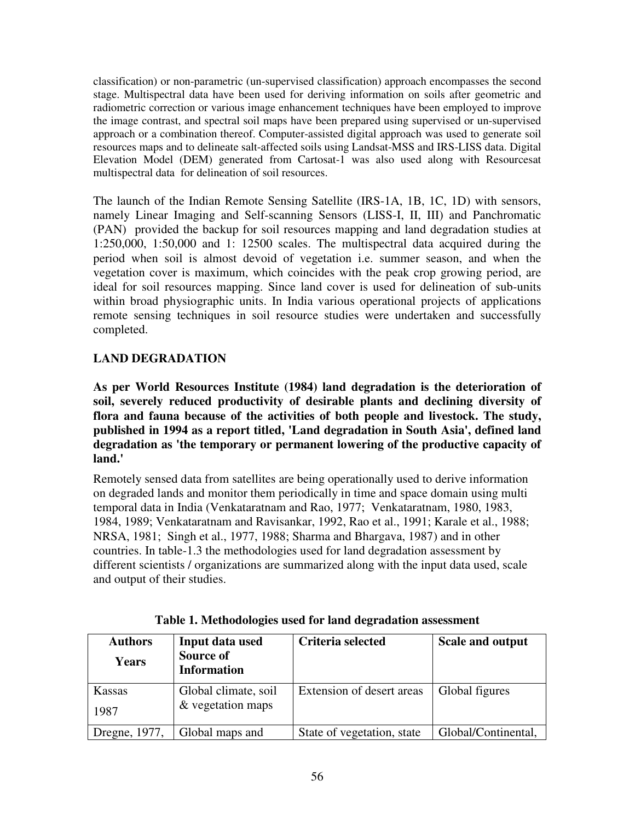classification) or non-parametric (un-supervised classification) approach encompasses the second stage. Multispectral data have been used for deriving information on soils after geometric and radiometric correction or various image enhancement techniques have been employed to improve the image contrast, and spectral soil maps have been prepared using supervised or un-supervised approach or a combination thereof. Computer-assisted digital approach was used to generate soil resources maps and to delineate salt-affected soils using Landsat-MSS and IRS-LISS data. Digital Elevation Model (DEM) generated from Cartosat-1 was also used along with Resourcesat multispectral data for delineation of soil resources.

The launch of the Indian Remote Sensing Satellite (IRS-1A, 1B, 1C, 1D) with sensors, namely Linear Imaging and Self-scanning Sensors (LISS-I, II, III) and Panchromatic (PAN) provided the backup for soil resources mapping and land degradation studies at 1:250,000, 1:50,000 and 1: 12500 scales. The multispectral data acquired during the period when soil is almost devoid of vegetation i.e. summer season, and when the vegetation cover is maximum, which coincides with the peak crop growing period, are ideal for soil resources mapping. Since land cover is used for delineation of sub-units within broad physiographic units. In India various operational projects of applications remote sensing techniques in soil resource studies were undertaken and successfully completed.

# **LAND DEGRADATION**

**As per World Resources Institute (1984) land degradation is the deterioration of soil, severely reduced productivity of desirable plants and declining diversity of flora and fauna because of the activities of both people and livestock. The study, published in 1994 as a report titled, 'Land degradation in South Asia', defined land degradation as 'the temporary or permanent lowering of the productive capacity of land.'** 

Remotely sensed data from satellites are being operationally used to derive information on degraded lands and monitor them periodically in time and space domain using multi temporal data in India (Venkataratnam and Rao, 1977; Venkataratnam, 1980, 1983, 1984, 1989; Venkataratnam and Ravisankar, 1992, Rao et al., 1991; Karale et al., 1988; NRSA, 1981; Singh et al., 1977, 1988; Sharma and Bhargava, 1987) and in other countries. In table-1.3 the methodologies used for land degradation assessment by different scientists / organizations are summarized along with the input data used, scale and output of their studies.

| <b>Authors</b><br><b>Years</b> | Input data used<br>Source of<br><b>Information</b> | Criteria selected          | Scale and output    |
|--------------------------------|----------------------------------------------------|----------------------------|---------------------|
| Kassas<br>1987                 | Global climate, soil<br>& vegetation maps          | Extension of desert areas  | Global figures      |
| Dregne, 1977,                  | Global maps and                                    | State of vegetation, state | Global/Continental, |

|  | Table 1. Methodologies used for land degradation assessment |
|--|-------------------------------------------------------------|
|--|-------------------------------------------------------------|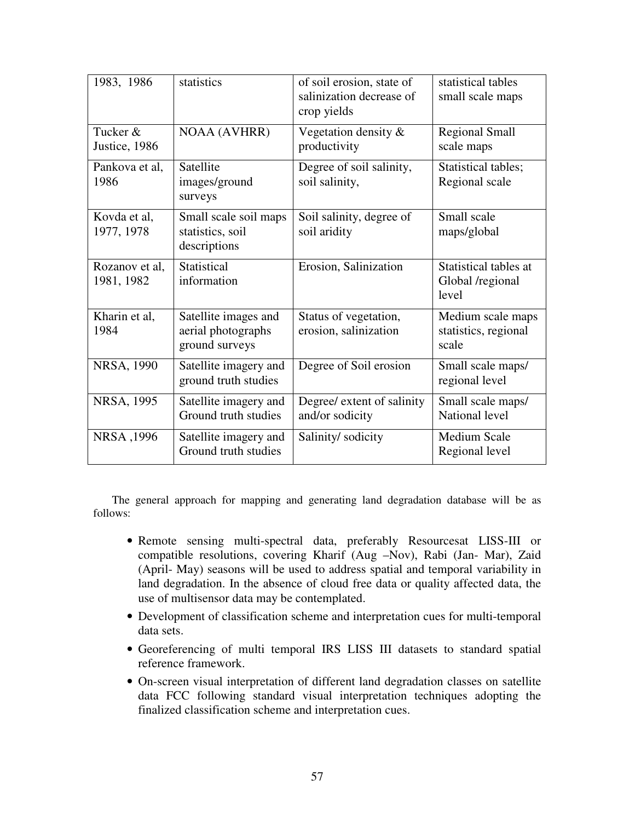| 1983, 1986                   | statistics                                                   | of soil erosion, state of<br>salinization decrease of<br>crop yields | statistical tables<br>small scale maps             |
|------------------------------|--------------------------------------------------------------|----------------------------------------------------------------------|----------------------------------------------------|
| Tucker &<br>Justice, 1986    | <b>NOAA (AVHRR)</b>                                          | Vegetation density $\&$<br>productivity                              | <b>Regional Small</b><br>scale maps                |
| Pankova et al.<br>1986       | Satellite<br>images/ground<br>surveys                        | Degree of soil salinity,<br>soil salinity,                           | Statistical tables;<br>Regional scale              |
| Kovda et al,<br>1977, 1978   | Small scale soil maps<br>statistics, soil<br>descriptions    | Soil salinity, degree of<br>soil aridity                             | Small scale<br>maps/global                         |
| Rozanov et al,<br>1981, 1982 | <b>Statistical</b><br>information                            | Erosion, Salinization                                                | Statistical tables at<br>Global /regional<br>level |
| Kharin et al,<br>1984        | Satellite images and<br>aerial photographs<br>ground surveys | Status of vegetation,<br>erosion, salinization                       | Medium scale maps<br>statistics, regional<br>scale |
| NRSA, 1990                   | Satellite imagery and<br>ground truth studies                | Degree of Soil erosion                                               | Small scale maps/<br>regional level                |
| NRSA, 1995                   | Satellite imagery and<br>Ground truth studies                | Degree/ extent of salinity<br>and/or sodicity                        | Small scale maps/<br>National level                |
| NRSA, 1996                   | Satellite imagery and<br>Ground truth studies                | Salinity/sodicity                                                    | <b>Medium Scale</b><br>Regional level              |

The general approach for mapping and generating land degradation database will be as follows:

- Remote sensing multi-spectral data, preferably Resourcesat LISS-III or compatible resolutions, covering Kharif (Aug –Nov), Rabi (Jan- Mar), Zaid (April- May) seasons will be used to address spatial and temporal variability in land degradation. In the absence of cloud free data or quality affected data, the use of multisensor data may be contemplated.
- Development of classification scheme and interpretation cues for multi-temporal data sets.
- Georeferencing of multi temporal IRS LISS III datasets to standard spatial reference framework.
- On-screen visual interpretation of different land degradation classes on satellite data FCC following standard visual interpretation techniques adopting the finalized classification scheme and interpretation cues.